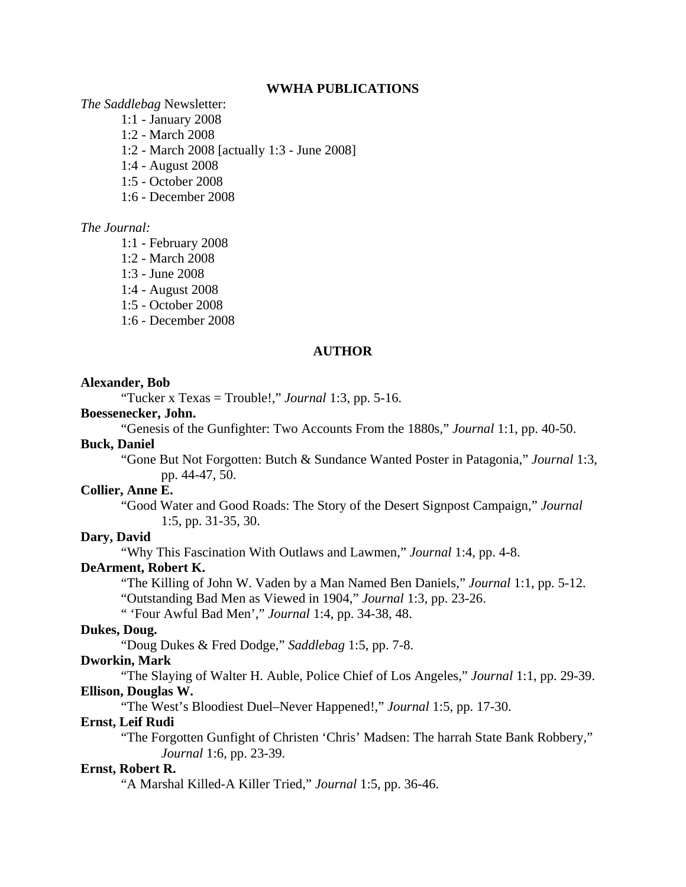#### **WWHA PUBLICATIONS**

#### *The Saddlebag* Newsletter:

- 1:1 January 2008
- 1:2 March 2008
- 1:2 March 2008 [actually 1:3 June 2008]
- 1:4 August 2008
- 1:5 October 2008
- 1:6 December 2008

### *The Journal:*

- 1:1 February 2008
- 1:2 March 2008
- 1:3 June 2008
- 1:4 August 2008
- 1:5 October 2008
- 1:6 December 2008

# **AUTHOR**

#### **Alexander, Bob**

"Tucker x Texas = Trouble!," *Journal* 1:3, pp. 5-16.

### **Boessenecker, John.**

"Genesis of the Gunfighter: Two Accounts From the 1880s," *Journal* 1:1, pp. 40-50.

### **Buck, Daniel**

"Gone But Not Forgotten: Butch & Sundance Wanted Poster in Patagonia," *Journal* 1:3, pp. 44-47, 50.

#### **Collier, Anne E.**

"Good Water and Good Roads: The Story of the Desert Signpost Campaign," *Journal* 1:5, pp. 31-35, 30.

# **Dary, David**

"Why This Fascination With Outlaws and Lawmen," *Journal* 1:4, pp. 4-8.

# **DeArment, Robert K.**

"The Killing of John W. Vaden by a Man Named Ben Daniels," *Journal* 1:1, pp. 5-12. "Outstanding Bad Men as Viewed in 1904," *Journal* 1:3, pp. 23-26.

" 'Four Awful Bad Men'," *Journal* 1:4, pp. 34-38, 48.

### **Dukes, Doug.**

"Doug Dukes & Fred Dodge," *Saddlebag* 1:5, pp. 7-8.

#### **Dworkin, Mark**

"The Slaying of Walter H. Auble, Police Chief of Los Angeles," *Journal* 1:1, pp. 29-39. **Ellison, Douglas W.**

"The West's Bloodiest Duel–Never Happened!," *Journal* 1:5, pp. 17-30.

### **Ernst, Leif Rudi**

"The Forgotten Gunfight of Christen 'Chris' Madsen: The harrah State Bank Robbery," *Journal* 1:6, pp. 23-39.

#### **Ernst, Robert R.**

"A Marshal Killed-A Killer Tried," *Journal* 1:5, pp. 36-46.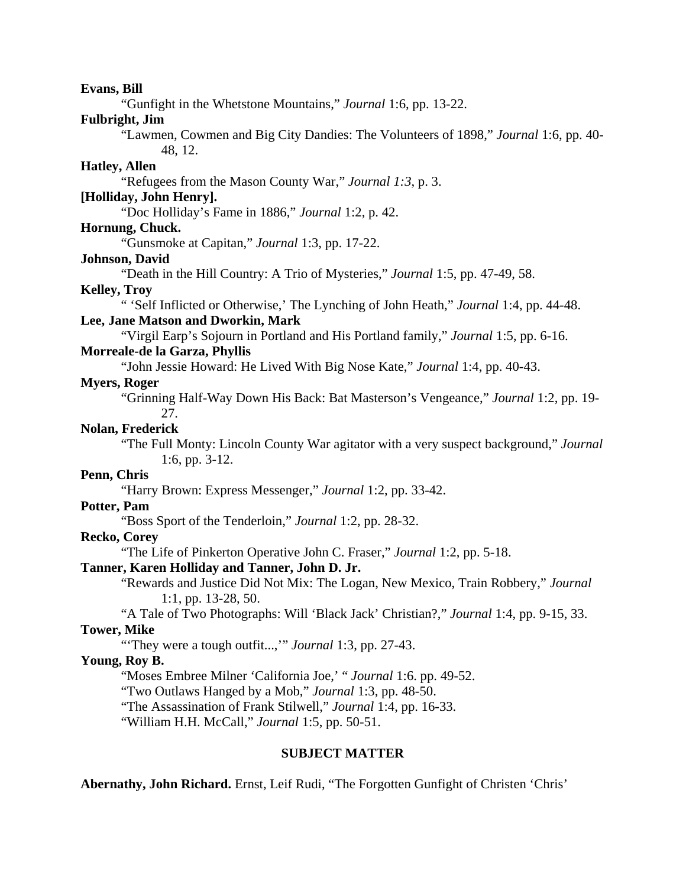**Evans, Bill** "Gunfight in the Whetstone Mountains," *Journal* 1:6, pp. 13-22. **Fulbright, Jim** "Lawmen, Cowmen and Big City Dandies: The Volunteers of 1898," *Journal* 1:6, pp. 40- 48, 12. **Hatley, Allen** "Refugees from the Mason County War," *Journal 1:3*, p. 3. **[Holliday, John Henry].** "Doc Holliday's Fame in 1886," *Journal* 1:2, p. 42. **Hornung, Chuck.** "Gunsmoke at Capitan," *Journal* 1:3, pp. 17-22. **Johnson, David** "Death in the Hill Country: A Trio of Mysteries," *Journal* 1:5, pp. 47-49, 58. **Kelley, Troy** " 'Self Inflicted or Otherwise,' The Lynching of John Heath," *Journal* 1:4, pp. 44-48. **Lee, Jane Matson and Dworkin, Mark** "Virgil Earp's Sojourn in Portland and His Portland family," *Journal* 1:5, pp. 6-16. **Morreale-de la Garza, Phyllis** "John Jessie Howard: He Lived With Big Nose Kate," *Journal* 1:4, pp. 40-43. **Myers, Roger** "Grinning Half-Way Down His Back: Bat Masterson's Vengeance," *Journal* 1:2, pp. 19- 27. **Nolan, Frederick**  "The Full Monty: Lincoln County War agitator with a very suspect background," *Journal* 1:6, pp. 3-12. **Penn, Chris** "Harry Brown: Express Messenger," *Journal* 1:2, pp. 33-42. **Potter, Pam** "Boss Sport of the Tenderloin," *Journal* 1:2, pp. 28-32. **Recko, Corey** "The Life of Pinkerton Operative John C. Fraser," *Journal* 1:2, pp. 5-18. **Tanner, Karen Holliday and Tanner, John D. Jr.** "Rewards and Justice Did Not Mix: The Logan, New Mexico, Train Robbery," *Journal* 1:1, pp. 13-28, 50. "A Tale of Two Photographs: Will 'Black Jack' Christian?," *Journal* 1:4, pp. 9-15, 33. **Tower, Mike** "'They were a tough outfit...,'" *Journal* 1:3, pp. 27-43. **Young, Roy B.** "Moses Embree Milner 'California Joe,' " *Journal* 1:6. pp. 49-52. "Two Outlaws Hanged by a Mob," *Journal* 1:3, pp. 48-50. "The Assassination of Frank Stilwell," *Journal* 1:4, pp. 16-33. "William H.H. McCall," *Journal* 1:5, pp. 50-51. **SUBJECT MATTER**

**Abernathy, John Richard.** Ernst, Leif Rudi, "The Forgotten Gunfight of Christen 'Chris'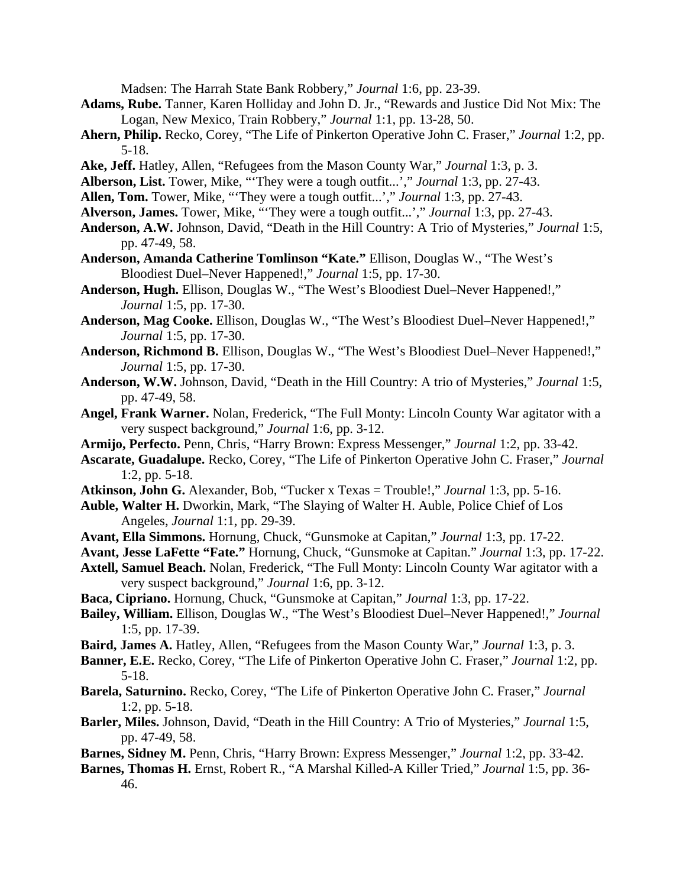Madsen: The Harrah State Bank Robbery," *Journal* 1:6, pp. 23-39.

- **Adams, Rube.** Tanner, Karen Holliday and John D. Jr., "Rewards and Justice Did Not Mix: The Logan, New Mexico, Train Robbery," *Journal* 1:1, pp. 13-28, 50.
- **Ahern, Philip.** Recko, Corey, "The Life of Pinkerton Operative John C. Fraser," *Journal* 1:2, pp. 5-18.
- **Ake, Jeff.** Hatley, Allen, "Refugees from the Mason County War," *Journal* 1:3, p. 3.
- **Alberson, List.** Tower, Mike, "'They were a tough outfit...'," *Journal* 1:3, pp. 27-43.
- **Allen, Tom.** Tower, Mike, "'They were a tough outfit...'," *Journal* 1:3, pp. 27-43.
- **Alverson, James.** Tower, Mike, "'They were a tough outfit...'," *Journal* 1:3, pp. 27-43.
- **Anderson, A.W.** Johnson, David, "Death in the Hill Country: A Trio of Mysteries," *Journal* 1:5, pp. 47-49, 58.
- **Anderson, Amanda Catherine Tomlinson "Kate."** Ellison, Douglas W., "The West's Bloodiest Duel–Never Happened!," *Journal* 1:5, pp. 17-30.
- **Anderson, Hugh.** Ellison, Douglas W., "The West's Bloodiest Duel–Never Happened!," *Journal* 1:5, pp. 17-30.
- **Anderson, Mag Cooke.** Ellison, Douglas W., "The West's Bloodiest Duel–Never Happened!," *Journal* 1:5, pp. 17-30.
- **Anderson, Richmond B.** Ellison, Douglas W., "The West's Bloodiest Duel–Never Happened!," *Journal* 1:5, pp. 17-30.
- **Anderson, W.W.** Johnson, David, "Death in the Hill Country: A trio of Mysteries," *Journal* 1:5, pp. 47-49, 58.
- **Angel, Frank Warner.** Nolan, Frederick, "The Full Monty: Lincoln County War agitator with a very suspect background," *Journal* 1:6, pp. 3-12.
- **Armijo, Perfecto.** Penn, Chris, "Harry Brown: Express Messenger," *Journal* 1:2, pp. 33-42.
- **Ascarate, Guadalupe.** Recko, Corey, "The Life of Pinkerton Operative John C. Fraser," *Journal* 1:2, pp. 5-18.
- **Atkinson, John G.** Alexander, Bob, "Tucker x Texas = Trouble!," *Journal* 1:3, pp. 5-16.
- **Auble, Walter H.** Dworkin, Mark, "The Slaying of Walter H. Auble, Police Chief of Los Angeles, *Journal* 1:1, pp. 29-39.
- **Avant, Ella Simmons.** Hornung, Chuck, "Gunsmoke at Capitan," *Journal* 1:3, pp. 17-22.
- **Avant, Jesse LaFette "Fate."** Hornung, Chuck, "Gunsmoke at Capitan." *Journal* 1:3, pp. 17-22.
- **Axtell, Samuel Beach.** Nolan, Frederick, "The Full Monty: Lincoln County War agitator with a very suspect background," *Journal* 1:6, pp. 3-12.
- **Baca, Cipriano.** Hornung, Chuck, "Gunsmoke at Capitan," *Journal* 1:3, pp. 17-22.
- **Bailey, William.** Ellison, Douglas W., "The West's Bloodiest Duel–Never Happened!," *Journal* 1:5, pp. 17-39.
- **Baird, James A.** Hatley, Allen, "Refugees from the Mason County War," *Journal* 1:3, p. 3.
- **Banner, E.E.** Recko, Corey, "The Life of Pinkerton Operative John C. Fraser," *Journal* 1:2, pp. 5-18.
- **Barela, Saturnino.** Recko, Corey, "The Life of Pinkerton Operative John C. Fraser," *Journal* 1:2, pp. 5-18.
- **Barler, Miles.** Johnson, David, "Death in the Hill Country: A Trio of Mysteries," *Journal* 1:5, pp. 47-49, 58.
- **Barnes, Sidney M.** Penn, Chris, "Harry Brown: Express Messenger," *Journal* 1:2, pp. 33-42.
- **Barnes, Thomas H.** Ernst, Robert R., "A Marshal Killed-A Killer Tried," *Journal* 1:5, pp. 36- 46.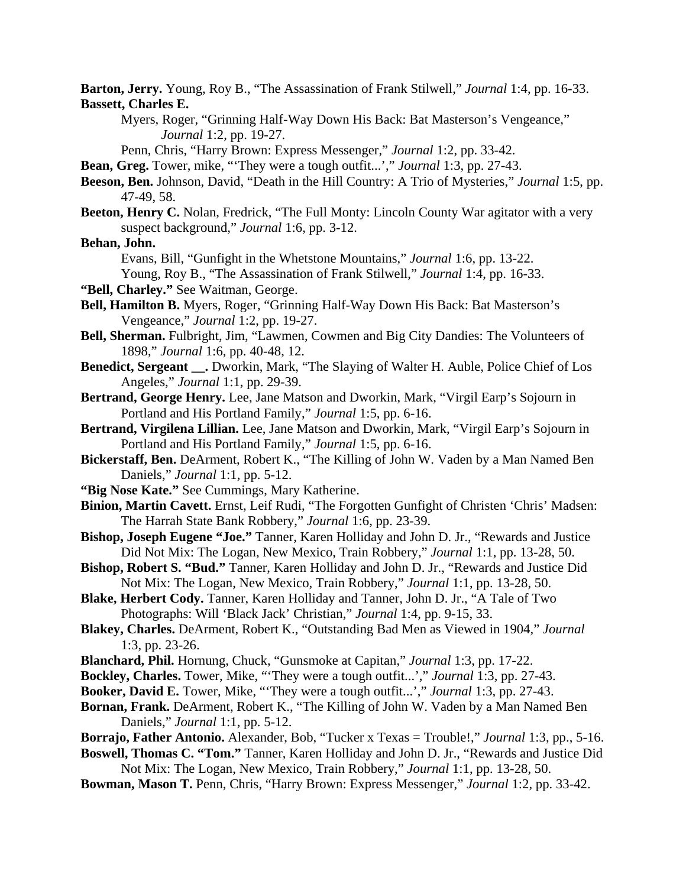**Barton, Jerry.** Young, Roy B., "The Assassination of Frank Stilwell," *Journal* 1:4, pp. 16-33. **Bassett, Charles E.**

Myers, Roger, "Grinning Half-Way Down His Back: Bat Masterson's Vengeance," *Journal* 1:2, pp. 19-27.

Penn, Chris, "Harry Brown: Express Messenger," *Journal* 1:2, pp. 33-42.

**Bean, Greg.** Tower, mike, "'They were a tough outfit...'," *Journal* 1:3, pp. 27-43.

**Beeson, Ben.** Johnson, David, "Death in the Hill Country: A Trio of Mysteries," *Journal* 1:5, pp. 47-49, 58.

**Beeton, Henry C.** Nolan, Fredrick, "The Full Monty: Lincoln County War agitator with a very suspect background," *Journal* 1:6, pp. 3-12.

**Behan, John.**

Evans, Bill, "Gunfight in the Whetstone Mountains," *Journal* 1:6, pp. 13-22.

Young, Roy B., "The Assassination of Frank Stilwell," *Journal* 1:4, pp. 16-33.

- **"Bell, Charley."** See Waitman, George.
- **Bell, Hamilton B.** Myers, Roger, "Grinning Half-Way Down His Back: Bat Masterson's Vengeance," *Journal* 1:2, pp. 19-27.
- **Bell, Sherman.** Fulbright, Jim, "Lawmen, Cowmen and Big City Dandies: The Volunteers of 1898," *Journal* 1:6, pp. 40-48, 12.
- **Benedict, Sergeant \_\_.** Dworkin, Mark, "The Slaying of Walter H. Auble, Police Chief of Los Angeles," *Journal* 1:1, pp. 29-39.
- **Bertrand, George Henry.** Lee, Jane Matson and Dworkin, Mark, "Virgil Earp's Sojourn in Portland and His Portland Family," *Journal* 1:5, pp. 6-16.
- **Bertrand, Virgilena Lillian.** Lee, Jane Matson and Dworkin, Mark, "Virgil Earp's Sojourn in Portland and His Portland Family," *Journal* 1:5, pp. 6-16.
- **Bickerstaff, Ben.** DeArment, Robert K., "The Killing of John W. Vaden by a Man Named Ben Daniels," *Journal* 1:1, pp. 5-12.
- **"Big Nose Kate."** See Cummings, Mary Katherine.
- **Binion, Martin Cavett.** Ernst, Leif Rudi, "The Forgotten Gunfight of Christen 'Chris' Madsen: The Harrah State Bank Robbery," *Journal* 1:6, pp. 23-39.
- **Bishop, Joseph Eugene "Joe."** Tanner, Karen Holliday and John D. Jr., "Rewards and Justice Did Not Mix: The Logan, New Mexico, Train Robbery," *Journal* 1:1, pp. 13-28, 50.
- **Bishop, Robert S. "Bud."** Tanner, Karen Holliday and John D. Jr., "Rewards and Justice Did Not Mix: The Logan, New Mexico, Train Robbery," *Journal* 1:1, pp. 13-28, 50.
- **Blake, Herbert Cody.** Tanner, Karen Holliday and Tanner, John D. Jr., "A Tale of Two Photographs: Will 'Black Jack' Christian," *Journal* 1:4, pp. 9-15, 33.
- **Blakey, Charles.** DeArment, Robert K., "Outstanding Bad Men as Viewed in 1904," *Journal* 1:3, pp. 23-26.
- **Blanchard, Phil.** Hornung, Chuck, "Gunsmoke at Capitan," *Journal* 1:3, pp. 17-22.
- **Bockley, Charles.** Tower, Mike, "'They were a tough outfit...'," *Journal* 1:3, pp. 27-43.
- **Booker, David E.** Tower, Mike, "'They were a tough outfit...'," *Journal* 1:3, pp. 27-43.
- **Bornan, Frank.** DeArment, Robert K., "The Killing of John W. Vaden by a Man Named Ben Daniels," *Journal* 1:1, pp. 5-12.
- **Borrajo, Father Antonio.** Alexander, Bob, "Tucker x Texas = Trouble!," *Journal* 1:3, pp., 5-16.
- **Boswell, Thomas C. "Tom."** Tanner, Karen Holliday and John D. Jr., "Rewards and Justice Did Not Mix: The Logan, New Mexico, Train Robbery," *Journal* 1:1, pp. 13-28, 50.
- **Bowman, Mason T.** Penn, Chris, "Harry Brown: Express Messenger," *Journal* 1:2, pp. 33-42.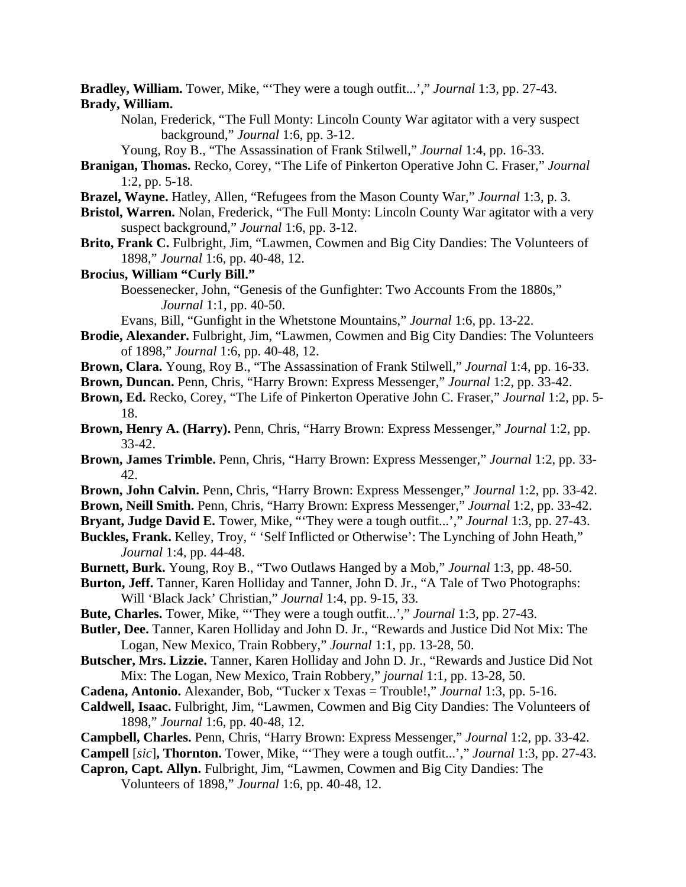**Bradley, William.** Tower, Mike, "'They were a tough outfit...'," *Journal* 1:3, pp. 27-43. **Brady, William.**

Nolan, Frederick, "The Full Monty: Lincoln County War agitator with a very suspect background," *Journal* 1:6, pp. 3-12.

Young, Roy B., "The Assassination of Frank Stilwell," *Journal* 1:4, pp. 16-33.

- **Branigan, Thomas.** Recko, Corey, "The Life of Pinkerton Operative John C. Fraser," *Journal* 1:2, pp. 5-18.
- **Brazel, Wayne.** Hatley, Allen, "Refugees from the Mason County War," *Journal* 1:3, p. 3.
- **Bristol, Warren.** Nolan, Frederick, "The Full Monty: Lincoln County War agitator with a very suspect background," *Journal* 1:6, pp. 3-12.
- **Brito, Frank C.** Fulbright, Jim, "Lawmen, Cowmen and Big City Dandies: The Volunteers of 1898," *Journal* 1:6, pp. 40-48, 12.
- **Brocius, William "Curly Bill."** Boessenecker, John, "Genesis of the Gunfighter: Two Accounts From the 1880s," *Journal* 1:1, pp. 40-50.

Evans, Bill, "Gunfight in the Whetstone Mountains," *Journal* 1:6, pp. 13-22.

- **Brodie, Alexander.** Fulbright, Jim, "Lawmen, Cowmen and Big City Dandies: The Volunteers of 1898," *Journal* 1:6, pp. 40-48, 12.
- **Brown, Clara.** Young, Roy B., "The Assassination of Frank Stilwell," *Journal* 1:4, pp. 16-33.
- **Brown, Duncan.** Penn, Chris, "Harry Brown: Express Messenger," *Journal* 1:2, pp. 33-42.
- **Brown, Ed.** Recko, Corey, "The Life of Pinkerton Operative John C. Fraser," *Journal* 1:2, pp. 5- 18.
- **Brown, Henry A. (Harry).** Penn, Chris, "Harry Brown: Express Messenger," *Journal* 1:2, pp. 33-42.
- **Brown, James Trimble.** Penn, Chris, "Harry Brown: Express Messenger," *Journal* 1:2, pp. 33- 42.
- **Brown, John Calvin.** Penn, Chris, "Harry Brown: Express Messenger," *Journal* 1:2, pp. 33-42.
- **Brown, Neill Smith.** Penn, Chris, "Harry Brown: Express Messenger," *Journal* 1:2, pp. 33-42.
- **Bryant, Judge David E.** Tower, Mike, "'They were a tough outfit...'," *Journal* 1:3, pp. 27-43.
- **Buckles, Frank.** Kelley, Troy, " 'Self Inflicted or Otherwise': The Lynching of John Heath," *Journal* 1:4, pp. 44-48.
- **Burnett, Burk.** Young, Roy B., "Two Outlaws Hanged by a Mob," *Journal* 1:3, pp. 48-50.
- **Burton, Jeff.** Tanner, Karen Holliday and Tanner, John D. Jr., "A Tale of Two Photographs: Will 'Black Jack' Christian," *Journal* 1:4, pp. 9-15, 33.
- **Bute, Charles.** Tower, Mike, "'They were a tough outfit...'," *Journal* 1:3, pp. 27-43.
- **Butler, Dee.** Tanner, Karen Holliday and John D. Jr., "Rewards and Justice Did Not Mix: The Logan, New Mexico, Train Robbery," *Journal* 1:1, pp. 13-28, 50.
- **Butscher, Mrs. Lizzie.** Tanner, Karen Holliday and John D. Jr., "Rewards and Justice Did Not Mix: The Logan, New Mexico, Train Robbery," *journal* 1:1, pp. 13-28, 50.
- **Cadena, Antonio.** Alexander, Bob, "Tucker x Texas = Trouble!," *Journal* 1:3, pp. 5-16.
- **Caldwell, Isaac.** Fulbright, Jim, "Lawmen, Cowmen and Big City Dandies: The Volunteers of 1898," *Journal* 1:6, pp. 40-48, 12.
- **Campbell, Charles.** Penn, Chris, "Harry Brown: Express Messenger," *Journal* 1:2, pp. 33-42.
- **Campell** [*sic*]**, Thornton.** Tower, Mike, "'They were a tough outfit...'," *Journal* 1:3, pp. 27-43.
- **Capron, Capt. Allyn.** Fulbright, Jim, "Lawmen, Cowmen and Big City Dandies: The

Volunteers of 1898," *Journal* 1:6, pp. 40-48, 12.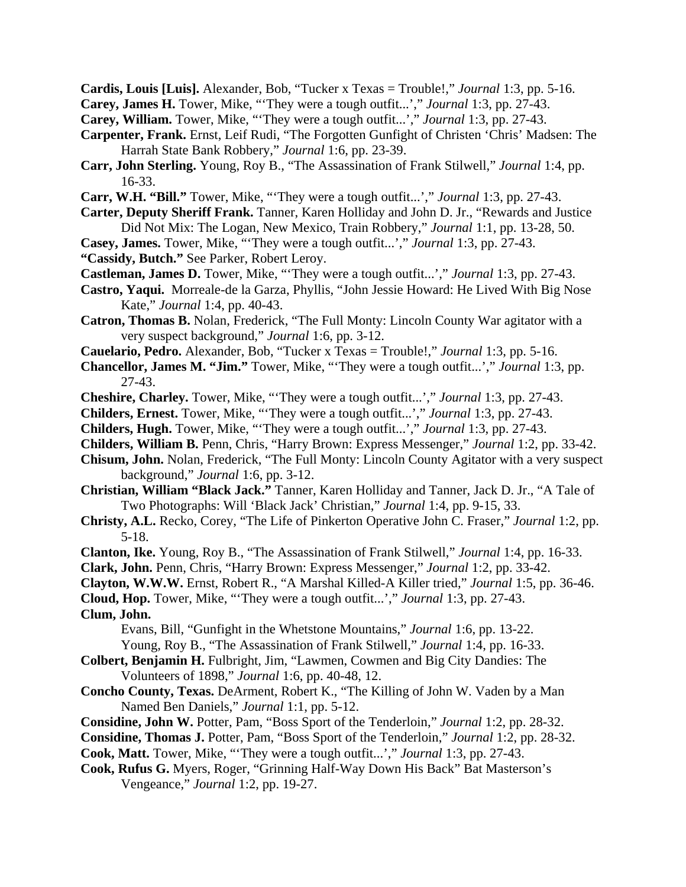**Cardis, Louis [Luis].** Alexander, Bob, "Tucker x Texas = Trouble!," *Journal* 1:3, pp. 5-16.

- **Carey, James H.** Tower, Mike, "'They were a tough outfit...'," *Journal* 1:3, pp. 27-43.
- **Carey, William.** Tower, Mike, "'They were a tough outfit...'," *Journal* 1:3, pp. 27-43.
- **Carpenter, Frank.** Ernst, Leif Rudi, "The Forgotten Gunfight of Christen 'Chris' Madsen: The Harrah State Bank Robbery," *Journal* 1:6, pp. 23-39.
- **Carr, John Sterling.** Young, Roy B., "The Assassination of Frank Stilwell," *Journal* 1:4, pp. 16-33.
- **Carr, W.H. "Bill."** Tower, Mike, "'They were a tough outfit...'," *Journal* 1:3, pp. 27-43.
- **Carter, Deputy Sheriff Frank.** Tanner, Karen Holliday and John D. Jr., "Rewards and Justice Did Not Mix: The Logan, New Mexico, Train Robbery," *Journal* 1:1, pp. 13-28, 50.
- **Casey, James.** Tower, Mike, "'They were a tough outfit...'," *Journal* 1:3, pp. 27-43. **"Cassidy, Butch."** See Parker, Robert Leroy.
- **Castleman, James D.** Tower, Mike, "'They were a tough outfit...'," *Journal* 1:3, pp. 27-43.
- **Castro, Yaqui.** Morreale-de la Garza, Phyllis, "John Jessie Howard: He Lived With Big Nose Kate," *Journal* 1:4, pp. 40-43.
- **Catron, Thomas B.** Nolan, Frederick, "The Full Monty: Lincoln County War agitator with a very suspect background," *Journal* 1:6, pp. 3-12.
- **Cauelario, Pedro.** Alexander, Bob, "Tucker x Texas = Trouble!," *Journal* 1:3, pp. 5-16.
- **Chancellor, James M. "Jim."** Tower, Mike, "'They were a tough outfit...'," *Journal* 1:3, pp. 27-43.
- **Cheshire, Charley.** Tower, Mike, "'They were a tough outfit...'," *Journal* 1:3, pp. 27-43.
- **Childers, Ernest.** Tower, Mike, "'They were a tough outfit...'," *Journal* 1:3, pp. 27-43.
- **Childers, Hugh.** Tower, Mike, "'They were a tough outfit...'," *Journal* 1:3, pp. 27-43.
- **Childers, William B.** Penn, Chris, "Harry Brown: Express Messenger," *Journal* 1:2, pp. 33-42.
- **Chisum, John.** Nolan, Frederick, "The Full Monty: Lincoln County Agitator with a very suspect background," *Journal* 1:6, pp. 3-12.
- **Christian, William "Black Jack."** Tanner, Karen Holliday and Tanner, Jack D. Jr., "A Tale of Two Photographs: Will 'Black Jack' Christian," *Journal* 1:4, pp. 9-15, 33.
- **Christy, A.L.** Recko, Corey, "The Life of Pinkerton Operative John C. Fraser," *Journal* 1:2, pp. 5-18.
- **Clanton, Ike.** Young, Roy B., "The Assassination of Frank Stilwell," *Journal* 1:4, pp. 16-33.
- **Clark, John.** Penn, Chris, "Harry Brown: Express Messenger," *Journal* 1:2, pp. 33-42.
- **Clayton, W.W.W.** Ernst, Robert R., "A Marshal Killed-A Killer tried," *Journal* 1:5, pp. 36-46.
- **Cloud, Hop.** Tower, Mike, "'They were a tough outfit...'," *Journal* 1:3, pp. 27-43.

**Clum, John.**

Evans, Bill, "Gunfight in the Whetstone Mountains," *Journal* 1:6, pp. 13-22.

Young, Roy B., "The Assassination of Frank Stilwell," *Journal* 1:4, pp. 16-33.

- **Colbert, Benjamin H.** Fulbright, Jim, "Lawmen, Cowmen and Big City Dandies: The Volunteers of 1898," *Journal* 1:6, pp. 40-48, 12.
- **Concho County, Texas.** DeArment, Robert K., "The Killing of John W. Vaden by a Man Named Ben Daniels," *Journal* 1:1, pp. 5-12.
- **Considine, John W.** Potter, Pam, "Boss Sport of the Tenderloin," *Journal* 1:2, pp. 28-32.
- **Considine, Thomas J.** Potter, Pam, "Boss Sport of the Tenderloin," *Journal* 1:2, pp. 28-32.
- **Cook, Matt.** Tower, Mike, "'They were a tough outfit...'," *Journal* 1:3, pp. 27-43.
- **Cook, Rufus G.** Myers, Roger, "Grinning Half-Way Down His Back" Bat Masterson's Vengeance," *Journal* 1:2, pp. 19-27.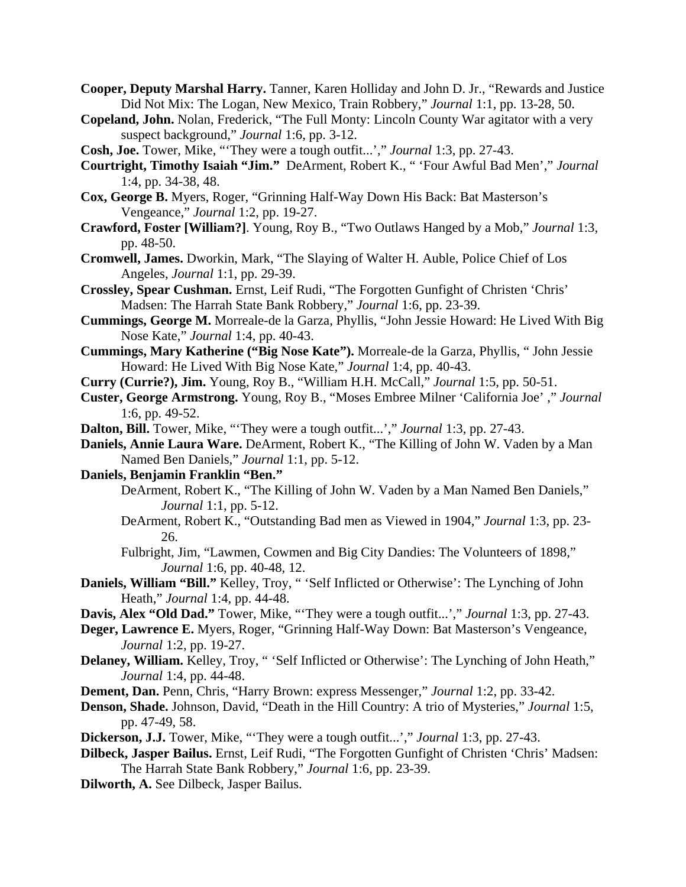- **Cooper, Deputy Marshal Harry.** Tanner, Karen Holliday and John D. Jr., "Rewards and Justice Did Not Mix: The Logan, New Mexico, Train Robbery," *Journal* 1:1, pp. 13-28, 50.
- **Copeland, John.** Nolan, Frederick, "The Full Monty: Lincoln County War agitator with a very suspect background," *Journal* 1:6, pp. 3-12.
- **Cosh, Joe.** Tower, Mike, "'They were a tough outfit...'," *Journal* 1:3, pp. 27-43.
- **Courtright, Timothy Isaiah "Jim."** DeArment, Robert K., " 'Four Awful Bad Men'," *Journal* 1:4, pp. 34-38, 48.
- **Cox, George B.** Myers, Roger, "Grinning Half-Way Down His Back: Bat Masterson's Vengeance," *Journal* 1:2, pp. 19-27.
- **Crawford, Foster [William?]**. Young, Roy B., "Two Outlaws Hanged by a Mob," *Journal* 1:3, pp. 48-50.
- **Cromwell, James.** Dworkin, Mark, "The Slaying of Walter H. Auble, Police Chief of Los Angeles, *Journal* 1:1, pp. 29-39.
- **Crossley, Spear Cushman.** Ernst, Leif Rudi, "The Forgotten Gunfight of Christen 'Chris' Madsen: The Harrah State Bank Robbery," *Journal* 1:6, pp. 23-39.
- **Cummings, George M.** Morreale-de la Garza, Phyllis, "John Jessie Howard: He Lived With Big Nose Kate," *Journal* 1:4, pp. 40-43.
- **Cummings, Mary Katherine ("Big Nose Kate").** Morreale-de la Garza, Phyllis, " John Jessie Howard: He Lived With Big Nose Kate," *Journal* 1:4, pp. 40-43.
- **Curry (Currie?), Jim.** Young, Roy B., "William H.H. McCall," *Journal* 1:5, pp. 50-51.
- **Custer, George Armstrong.** Young, Roy B., "Moses Embree Milner 'California Joe' ," *Journal* 1:6, pp. 49-52.
- **Dalton, Bill.** Tower, Mike, "'They were a tough outfit...'," *Journal* 1:3, pp. 27-43.
- **Daniels, Annie Laura Ware.** DeArment, Robert K., "The Killing of John W. Vaden by a Man Named Ben Daniels," *Journal* 1:1, pp. 5-12.
- **Daniels, Benjamin Franklin "Ben."**
	- DeArment, Robert K., "The Killing of John W. Vaden by a Man Named Ben Daniels," *Journal* 1:1, pp. 5-12.
	- DeArment, Robert K., "Outstanding Bad men as Viewed in 1904," *Journal* 1:3, pp. 23- 26.
	- Fulbright, Jim, "Lawmen, Cowmen and Big City Dandies: The Volunteers of 1898," *Journal* 1:6, pp. 40-48, 12.
- **Daniels, William "Bill."** Kelley, Troy, " 'Self Inflicted or Otherwise': The Lynching of John Heath," *Journal* 1:4, pp. 44-48.
- **Davis, Alex "Old Dad."** Tower, Mike, "'They were a tough outfit...'," *Journal* 1:3, pp. 27-43.
- **Deger, Lawrence E.** Myers, Roger, "Grinning Half-Way Down: Bat Masterson's Vengeance, *Journal* 1:2, pp. 19-27.
- **Delaney, William.** Kelley, Troy, " 'Self Inflicted or Otherwise': The Lynching of John Heath," *Journal* 1:4, pp. 44-48.
- **Dement, Dan.** Penn, Chris, "Harry Brown: express Messenger," *Journal* 1:2, pp. 33-42.
- **Denson, Shade.** Johnson, David, "Death in the Hill Country: A trio of Mysteries," *Journal* 1:5, pp. 47-49, 58.
- **Dickerson, J.J.** Tower, Mike, "'They were a tough outfit...'," *Journal* 1:3, pp. 27-43.
- **Dilbeck, Jasper Bailus.** Ernst, Leif Rudi, "The Forgotten Gunfight of Christen 'Chris' Madsen: The Harrah State Bank Robbery," *Journal* 1:6, pp. 23-39.
- **Dilworth, A.** See Dilbeck, Jasper Bailus.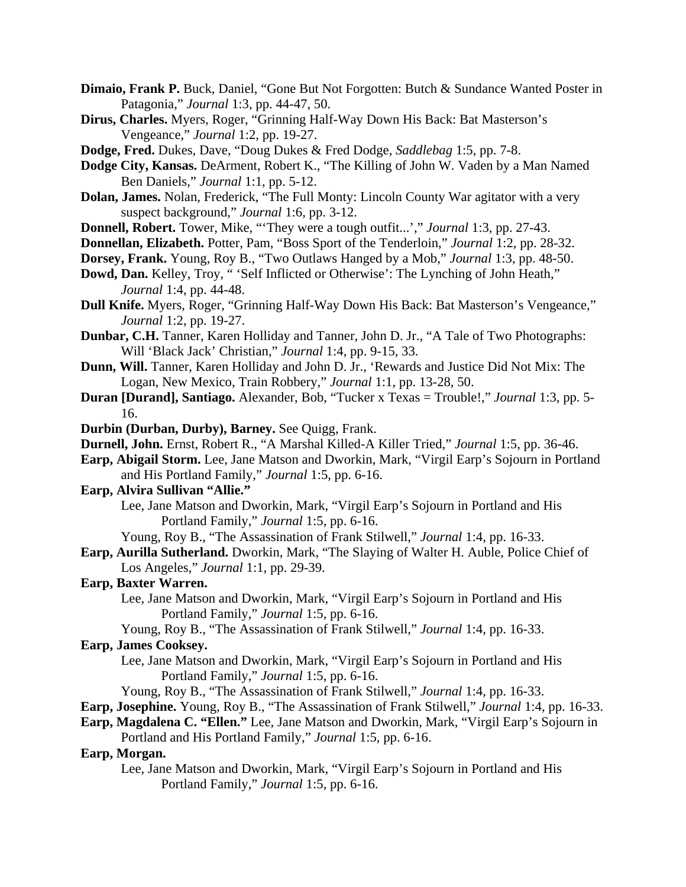- **Dimaio, Frank P.** Buck, Daniel, "Gone But Not Forgotten: Butch & Sundance Wanted Poster in Patagonia," *Journal* 1:3, pp. 44-47, 50.
- **Dirus, Charles.** Myers, Roger, "Grinning Half-Way Down His Back: Bat Masterson's Vengeance," *Journal* 1:2, pp. 19-27.
- **Dodge, Fred.** Dukes, Dave, "Doug Dukes & Fred Dodge, *Saddlebag* 1:5, pp. 7-8.
- **Dodge City, Kansas.** DeArment, Robert K., "The Killing of John W. Vaden by a Man Named Ben Daniels," *Journal* 1:1, pp. 5-12.
- **Dolan, James.** Nolan, Frederick, "The Full Monty: Lincoln County War agitator with a very suspect background," *Journal* 1:6, pp. 3-12.
- **Donnell, Robert.** Tower, Mike, "'They were a tough outfit...'," *Journal* 1:3, pp. 27-43.
- **Donnellan, Elizabeth.** Potter, Pam, "Boss Sport of the Tenderloin," *Journal* 1:2, pp. 28-32.
- **Dorsey, Frank.** Young, Roy B., "Two Outlaws Hanged by a Mob," *Journal* 1:3, pp. 48-50.
- **Dowd, Dan.** Kelley, Troy, " 'Self Inflicted or Otherwise': The Lynching of John Heath," *Journal* 1:4, pp. 44-48.
- **Dull Knife.** Myers, Roger, "Grinning Half-Way Down His Back: Bat Masterson's Vengeance," *Journal* 1:2, pp. 19-27.
- **Dunbar, C.H.** Tanner, Karen Holliday and Tanner, John D. Jr., "A Tale of Two Photographs: Will 'Black Jack' Christian," *Journal* 1:4, pp. 9-15, 33.
- **Dunn, Will.** Tanner, Karen Holliday and John D. Jr., 'Rewards and Justice Did Not Mix: The Logan, New Mexico, Train Robbery," *Journal* 1:1, pp. 13-28, 50.
- **Duran [Durand], Santiago.** Alexander, Bob, "Tucker x Texas = Trouble!," *Journal* 1:3, pp. 5- 16.
- **Durbin (Durban, Durby), Barney.** See Quigg, Frank.
- **Durnell, John.** Ernst, Robert R., "A Marshal Killed-A Killer Tried," *Journal* 1:5, pp. 36-46.
- **Earp, Abigail Storm.** Lee, Jane Matson and Dworkin, Mark, "Virgil Earp's Sojourn in Portland and His Portland Family," *Journal* 1:5, pp. 6-16.
- **Earp, Alvira Sullivan "Allie."**
	- Lee, Jane Matson and Dworkin, Mark, "Virgil Earp's Sojourn in Portland and His Portland Family," *Journal* 1:5, pp. 6-16.
	- Young, Roy B., "The Assassination of Frank Stilwell," *Journal* 1:4, pp. 16-33.
- **Earp, Aurilla Sutherland.** Dworkin, Mark, "The Slaying of Walter H. Auble, Police Chief of Los Angeles," *Journal* 1:1, pp. 29-39.

### **Earp, Baxter Warren.**

- Lee, Jane Matson and Dworkin, Mark, "Virgil Earp's Sojourn in Portland and His Portland Family," *Journal* 1:5, pp. 6-16.
- Young, Roy B., "The Assassination of Frank Stilwell," *Journal* 1:4, pp. 16-33.

# **Earp, James Cooksey.**

- Lee, Jane Matson and Dworkin, Mark, "Virgil Earp's Sojourn in Portland and His Portland Family," *Journal* 1:5, pp. 6-16.
- Young, Roy B., "The Assassination of Frank Stilwell," *Journal* 1:4, pp. 16-33.
- **Earp, Josephine.** Young, Roy B., "The Assassination of Frank Stilwell," *Journal* 1:4, pp. 16-33.

**Earp, Magdalena C. "Ellen."** Lee, Jane Matson and Dworkin, Mark, "Virgil Earp's Sojourn in

Portland and His Portland Family," *Journal* 1:5, pp. 6-16.

#### **Earp, Morgan.**

Lee, Jane Matson and Dworkin, Mark, "Virgil Earp's Sojourn in Portland and His Portland Family," *Journal* 1:5, pp. 6-16.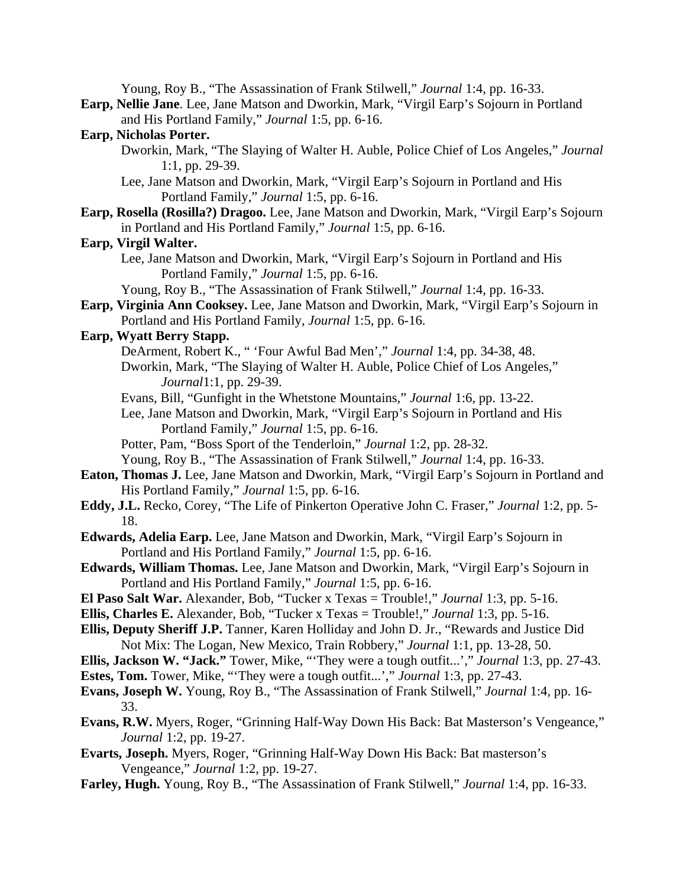Young, Roy B., "The Assassination of Frank Stilwell," *Journal* 1:4, pp. 16-33.

**Earp, Nellie Jane**. Lee, Jane Matson and Dworkin, Mark, "Virgil Earp's Sojourn in Portland and His Portland Family," *Journal* 1:5, pp. 6-16.

# **Earp, Nicholas Porter.**

- Dworkin, Mark, "The Slaying of Walter H. Auble, Police Chief of Los Angeles," *Journal* 1:1, pp. 29-39.
- Lee, Jane Matson and Dworkin, Mark, "Virgil Earp's Sojourn in Portland and His Portland Family," *Journal* 1:5, pp. 6-16.
- **Earp, Rosella (Rosilla?) Dragoo.** Lee, Jane Matson and Dworkin, Mark, "Virgil Earp's Sojourn in Portland and His Portland Family," *Journal* 1:5, pp. 6-16.

# **Earp, Virgil Walter.**

Lee, Jane Matson and Dworkin, Mark, "Virgil Earp's Sojourn in Portland and His Portland Family," *Journal* 1:5, pp. 6-16.

Young, Roy B., "The Assassination of Frank Stilwell," *Journal* 1:4, pp. 16-33.

**Earp, Virginia Ann Cooksey.** Lee, Jane Matson and Dworkin, Mark, "Virgil Earp's Sojourn in Portland and His Portland Family, *Journal* 1:5, pp. 6-16.

# **Earp, Wyatt Berry Stapp.**

- DeArment, Robert K., " 'Four Awful Bad Men'," *Journal* 1:4, pp. 34-38, 48.
- Dworkin, Mark, "The Slaying of Walter H. Auble, Police Chief of Los Angeles," *Journal*1:1, pp. 29-39.
- Evans, Bill, "Gunfight in the Whetstone Mountains," *Journal* 1:6, pp. 13-22.
- Lee, Jane Matson and Dworkin, Mark, "Virgil Earp's Sojourn in Portland and His Portland Family," *Journal* 1:5, pp. 6-16.
- Potter, Pam, "Boss Sport of the Tenderloin," *Journal* 1:2, pp. 28-32.
- Young, Roy B., "The Assassination of Frank Stilwell," *Journal* 1:4, pp. 16-33.
- **Eaton, Thomas J.** Lee, Jane Matson and Dworkin, Mark, "Virgil Earp's Sojourn in Portland and His Portland Family," *Journal* 1:5, pp. 6-16.
- **Eddy, J.L.** Recko, Corey, "The Life of Pinkerton Operative John C. Fraser," *Journal* 1:2, pp. 5- 18.
- **Edwards, Adelia Earp.** Lee, Jane Matson and Dworkin, Mark, "Virgil Earp's Sojourn in Portland and His Portland Family," *Journal* 1:5, pp. 6-16.
- **Edwards, William Thomas.** Lee, Jane Matson and Dworkin, Mark, "Virgil Earp's Sojourn in Portland and His Portland Family," *Journal* 1:5, pp. 6-16.
- **El Paso Salt War.** Alexander, Bob, "Tucker x Texas = Trouble!," *Journal* 1:3, pp. 5-16.
- **Ellis, Charles E.** Alexander, Bob, "Tucker x Texas = Trouble!," *Journal* 1:3, pp. 5-16.
- **Ellis, Deputy Sheriff J.P.** Tanner, Karen Holliday and John D. Jr., "Rewards and Justice Did Not Mix: The Logan, New Mexico, Train Robbery," *Journal* 1:1, pp. 13-28, 50.
- **Ellis, Jackson W. "Jack."** Tower, Mike, "'They were a tough outfit...'," *Journal* 1:3, pp. 27-43.
- **Estes, Tom.** Tower, Mike, "'They were a tough outfit...'," *Journal* 1:3, pp. 27-43.
- **Evans, Joseph W.** Young, Roy B., "The Assassination of Frank Stilwell," *Journal* 1:4, pp. 16- 33.
- **Evans, R.W.** Myers, Roger, "Grinning Half-Way Down His Back: Bat Masterson's Vengeance," *Journal* 1:2, pp. 19-27.
- **Evarts, Joseph.** Myers, Roger, "Grinning Half-Way Down His Back: Bat masterson's Vengeance," *Journal* 1:2, pp. 19-27.
- **Farley, Hugh.** Young, Roy B., "The Assassination of Frank Stilwell," *Journal* 1:4, pp. 16-33.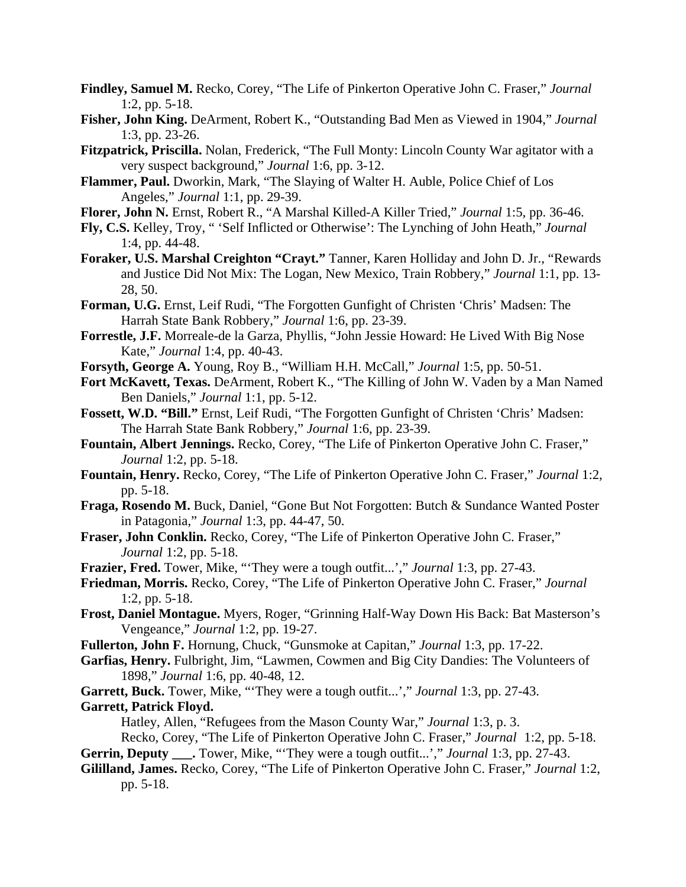- **Findley, Samuel M.** Recko, Corey, "The Life of Pinkerton Operative John C. Fraser," *Journal* 1:2, pp. 5-18.
- **Fisher, John King.** DeArment, Robert K., "Outstanding Bad Men as Viewed in 1904," *Journal* 1:3, pp. 23-26.
- **Fitzpatrick, Priscilla.** Nolan, Frederick, "The Full Monty: Lincoln County War agitator with a very suspect background," *Journal* 1:6, pp. 3-12.
- **Flammer, Paul.** Dworkin, Mark, "The Slaying of Walter H. Auble, Police Chief of Los Angeles," *Journal* 1:1, pp. 29-39.
- **Florer, John N.** Ernst, Robert R., "A Marshal Killed-A Killer Tried," *Journal* 1:5, pp. 36-46.
- **Fly, C.S.** Kelley, Troy, " 'Self Inflicted or Otherwise': The Lynching of John Heath," *Journal* 1:4, pp. 44-48.
- **Foraker, U.S. Marshal Creighton "Crayt."** Tanner, Karen Holliday and John D. Jr., "Rewards and Justice Did Not Mix: The Logan, New Mexico, Train Robbery," *Journal* 1:1, pp. 13- 28, 50.
- **Forman, U.G.** Ernst, Leif Rudi, "The Forgotten Gunfight of Christen 'Chris' Madsen: The Harrah State Bank Robbery," *Journal* 1:6, pp. 23-39.
- **Forrestle, J.F.** Morreale-de la Garza, Phyllis, "John Jessie Howard: He Lived With Big Nose Kate," *Journal* 1:4, pp. 40-43.
- **Forsyth, George A.** Young, Roy B., "William H.H. McCall," *Journal* 1:5, pp. 50-51.
- **Fort McKavett, Texas.** DeArment, Robert K., "The Killing of John W. Vaden by a Man Named Ben Daniels," *Journal* 1:1, pp. 5-12.
- **Fossett, W.D. "Bill."** Ernst, Leif Rudi, "The Forgotten Gunfight of Christen 'Chris' Madsen: The Harrah State Bank Robbery," *Journal* 1:6, pp. 23-39.
- **Fountain, Albert Jennings.** Recko, Corey, "The Life of Pinkerton Operative John C. Fraser," *Journal* 1:2, pp. 5-18.
- **Fountain, Henry.** Recko, Corey, "The Life of Pinkerton Operative John C. Fraser," *Journal* 1:2, pp. 5-18.
- **Fraga, Rosendo M.** Buck, Daniel, "Gone But Not Forgotten: Butch & Sundance Wanted Poster in Patagonia," *Journal* 1:3, pp. 44-47, 50.
- **Fraser, John Conklin.** Recko, Corey, "The Life of Pinkerton Operative John C. Fraser," *Journal* 1:2, pp. 5-18.
- **Frazier, Fred.** Tower, Mike, "'They were a tough outfit...'," *Journal* 1:3, pp. 27-43.
- **Friedman, Morris.** Recko, Corey, "The Life of Pinkerton Operative John C. Fraser," *Journal* 1:2, pp. 5-18.
- **Frost, Daniel Montague.** Myers, Roger, "Grinning Half-Way Down His Back: Bat Masterson's Vengeance," *Journal* 1:2, pp. 19-27.
- **Fullerton, John F.** Hornung, Chuck, "Gunsmoke at Capitan," *Journal* 1:3, pp. 17-22.
- **Garfias, Henry.** Fulbright, Jim, "Lawmen, Cowmen and Big City Dandies: The Volunteers of 1898," *Journal* 1:6, pp. 40-48, 12.
- **Garrett, Buck.** Tower, Mike, "'They were a tough outfit...'," *Journal* 1:3, pp. 27-43. **Garrett, Patrick Floyd.**

Hatley, Allen, "Refugees from the Mason County War," *Journal* 1:3, p. 3.

Recko, Corey, "The Life of Pinkerton Operative John C. Fraser," *Journal* 1:2, pp. 5-18.

- **Gerrin, Deputy** . Tower, Mike, "They were a tough outfit...'," *Journal* 1:3, pp. 27-43.
- **Gililland, James.** Recko, Corey, "The Life of Pinkerton Operative John C. Fraser," *Journal* 1:2, pp. 5-18.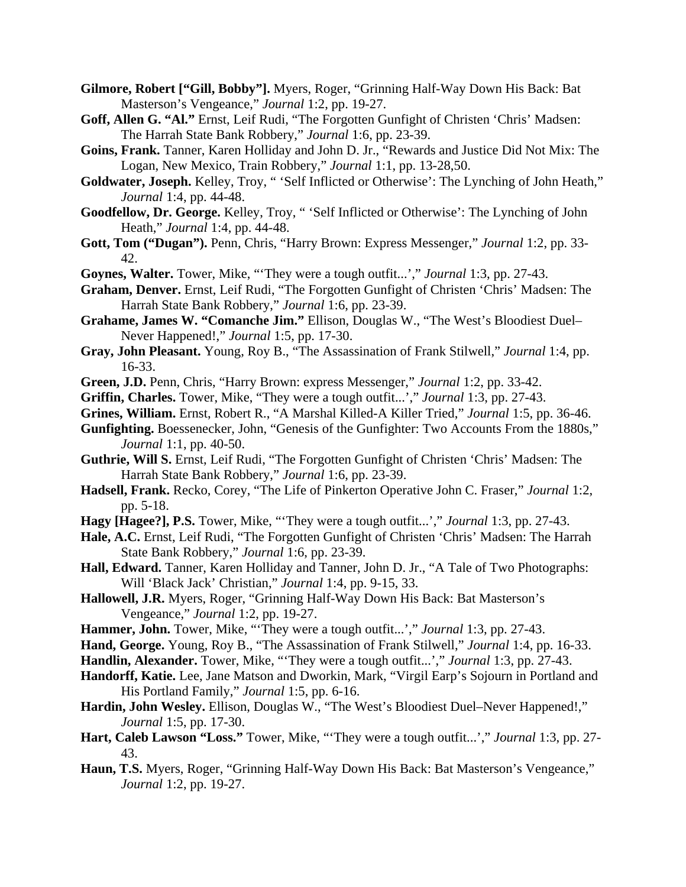- **Gilmore, Robert ["Gill, Bobby"].** Myers, Roger, "Grinning Half-Way Down His Back: Bat Masterson's Vengeance," *Journal* 1:2, pp. 19-27.
- **Goff, Allen G. "Al."** Ernst, Leif Rudi, "The Forgotten Gunfight of Christen 'Chris' Madsen: The Harrah State Bank Robbery," *Journal* 1:6, pp. 23-39.
- **Goins, Frank.** Tanner, Karen Holliday and John D. Jr., "Rewards and Justice Did Not Mix: The Logan, New Mexico, Train Robbery," *Journal* 1:1, pp. 13-28,50.
- **Goldwater, Joseph.** Kelley, Troy, " 'Self Inflicted or Otherwise': The Lynching of John Heath," *Journal* 1:4, pp. 44-48.
- **Goodfellow, Dr. George.** Kelley, Troy, " 'Self Inflicted or Otherwise': The Lynching of John Heath," *Journal* 1:4, pp. 44-48.
- **Gott, Tom ("Dugan").** Penn, Chris, "Harry Brown: Express Messenger," *Journal* 1:2, pp. 33- 42.
- **Goynes, Walter.** Tower, Mike, "'They were a tough outfit...'," *Journal* 1:3, pp. 27-43.
- **Graham, Denver.** Ernst, Leif Rudi, "The Forgotten Gunfight of Christen 'Chris' Madsen: The Harrah State Bank Robbery," *Journal* 1:6, pp. 23-39.
- **Grahame, James W. "Comanche Jim."** Ellison, Douglas W., "The West's Bloodiest Duel– Never Happened!," *Journal* 1:5, pp. 17-30.
- **Gray, John Pleasant.** Young, Roy B., "The Assassination of Frank Stilwell," *Journal* 1:4, pp. 16-33.
- **Green, J.D.** Penn, Chris, "Harry Brown: express Messenger," *Journal* 1:2, pp. 33-42.
- **Griffin, Charles.** Tower, Mike, "They were a tough outfit...'," *Journal* 1:3, pp. 27-43.
- **Grines, William.** Ernst, Robert R., "A Marshal Killed-A Killer Tried," *Journal* 1:5, pp. 36-46.
- **Gunfighting.** Boessenecker, John, "Genesis of the Gunfighter: Two Accounts From the 1880s," *Journal* 1:1, pp. 40-50.
- **Guthrie, Will S.** Ernst, Leif Rudi, "The Forgotten Gunfight of Christen 'Chris' Madsen: The Harrah State Bank Robbery," *Journal* 1:6, pp. 23-39.
- **Hadsell, Frank.** Recko, Corey, "The Life of Pinkerton Operative John C. Fraser," *Journal* 1:2, pp. 5-18.
- **Hagy [Hagee?], P.S.** Tower, Mike, "'They were a tough outfit...'," *Journal* 1:3, pp. 27-43.
- **Hale, A.C.** Ernst, Leif Rudi, "The Forgotten Gunfight of Christen 'Chris' Madsen: The Harrah State Bank Robbery," *Journal* 1:6, pp. 23-39.
- **Hall, Edward.** Tanner, Karen Holliday and Tanner, John D. Jr., "A Tale of Two Photographs: Will 'Black Jack' Christian," *Journal* 1:4, pp. 9-15, 33.
- **Hallowell, J.R.** Myers, Roger, "Grinning Half-Way Down His Back: Bat Masterson's Vengeance," *Journal* 1:2, pp. 19-27.
- **Hammer, John.** Tower, Mike, "'They were a tough outfit...'," *Journal* 1:3, pp. 27-43.
- **Hand, George.** Young, Roy B., "The Assassination of Frank Stilwell," *Journal* 1:4, pp. 16-33.
- **Handlin, Alexander.** Tower, Mike, "'They were a tough outfit...'," *Journal* 1:3, pp. 27-43.
- **Handorff, Katie.** Lee, Jane Matson and Dworkin, Mark, "Virgil Earp's Sojourn in Portland and His Portland Family," *Journal* 1:5, pp. 6-16.
- **Hardin, John Wesley.** Ellison, Douglas W., "The West's Bloodiest Duel–Never Happened!," *Journal* 1:5, pp. 17-30.
- **Hart, Caleb Lawson "Loss."** Tower, Mike, "'They were a tough outfit...'," *Journal* 1:3, pp. 27- 43.
- **Haun, T.S.** Myers, Roger, "Grinning Half-Way Down His Back: Bat Masterson's Vengeance," *Journal* 1:2, pp. 19-27.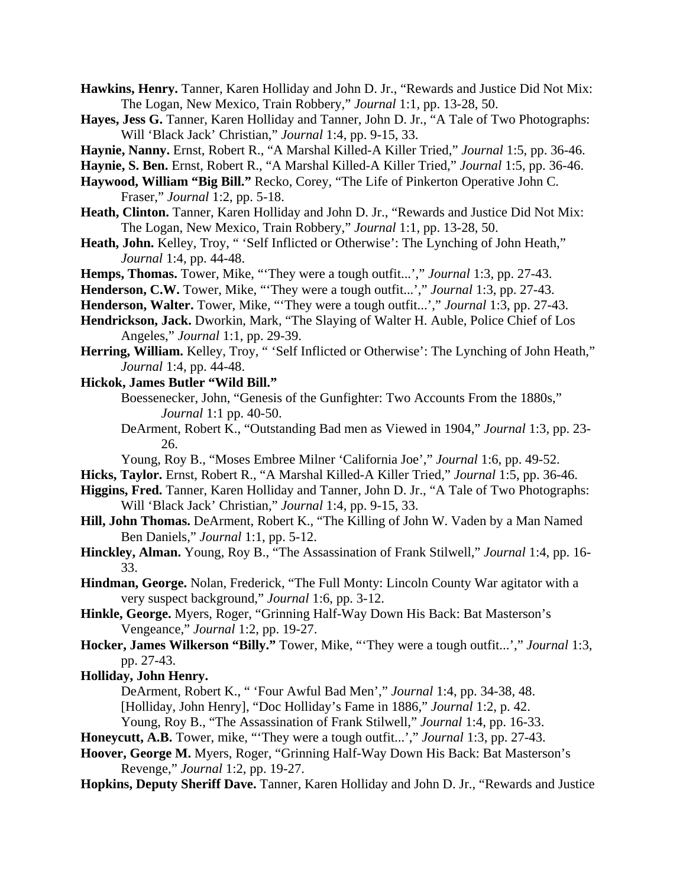**Hawkins, Henry.** Tanner, Karen Holliday and John D. Jr., "Rewards and Justice Did Not Mix: The Logan, New Mexico, Train Robbery," *Journal* 1:1, pp. 13-28, 50.

- **Hayes, Jess G.** Tanner, Karen Holliday and Tanner, John D. Jr., "A Tale of Two Photographs: Will 'Black Jack' Christian," *Journal* 1:4, pp. 9-15, 33.
- **Haynie, Nanny.** Ernst, Robert R., "A Marshal Killed-A Killer Tried," *Journal* 1:5, pp. 36-46.
- **Haynie, S. Ben.** Ernst, Robert R., "A Marshal Killed-A Killer Tried," *Journal* 1:5, pp. 36-46.
- **Haywood, William "Big Bill."** Recko, Corey, "The Life of Pinkerton Operative John C. Fraser," *Journal* 1:2, pp. 5-18.
- **Heath, Clinton.** Tanner, Karen Holliday and John D. Jr., "Rewards and Justice Did Not Mix: The Logan, New Mexico, Train Robbery," *Journal* 1:1, pp. 13-28, 50.
- **Heath, John.** Kelley, Troy, " 'Self Inflicted or Otherwise': The Lynching of John Heath," *Journal* 1:4, pp. 44-48.
- **Hemps, Thomas.** Tower, Mike, "'They were a tough outfit...'," *Journal* 1:3, pp. 27-43.
- **Henderson, C.W.** Tower, Mike, "'They were a tough outfit...'," *Journal* 1:3, pp. 27-43.
- **Henderson, Walter.** Tower, Mike, "'They were a tough outfit...'," *Journal* 1:3, pp. 27-43.
- **Hendrickson, Jack.** Dworkin, Mark, "The Slaying of Walter H. Auble, Police Chief of Los Angeles," *Journal* 1:1, pp. 29-39.
- **Herring, William.** Kelley, Troy, " 'Self Inflicted or Otherwise': The Lynching of John Heath," *Journal* 1:4, pp. 44-48.
- **Hickok, James Butler "Wild Bill."** 
	- Boessenecker, John, "Genesis of the Gunfighter: Two Accounts From the 1880s," *Journal* 1:1 pp. 40-50.
	- DeArment, Robert K., "Outstanding Bad men as Viewed in 1904," *Journal* 1:3, pp. 23- 26.
	- Young, Roy B., "Moses Embree Milner 'California Joe'," *Journal* 1:6, pp. 49-52.
- **Hicks, Taylor.** Ernst, Robert R., "A Marshal Killed-A Killer Tried," *Journal* 1:5, pp. 36-46.
- **Higgins, Fred.** Tanner, Karen Holliday and Tanner, John D. Jr., "A Tale of Two Photographs: Will 'Black Jack' Christian," *Journal* 1:4, pp. 9-15, 33.
- **Hill, John Thomas.** DeArment, Robert K., "The Killing of John W. Vaden by a Man Named Ben Daniels," *Journal* 1:1, pp. 5-12.
- **Hinckley, Alman.** Young, Roy B., "The Assassination of Frank Stilwell," *Journal* 1:4, pp. 16- 33.
- **Hindman, George.** Nolan, Frederick, "The Full Monty: Lincoln County War agitator with a very suspect background," *Journal* 1:6, pp. 3-12.
- **Hinkle, George.** Myers, Roger, "Grinning Half-Way Down His Back: Bat Masterson's Vengeance," *Journal* 1:2, pp. 19-27.
- **Hocker, James Wilkerson "Billy."** Tower, Mike, "'They were a tough outfit...'," *Journal* 1:3, pp. 27-43.

### **Holliday, John Henry.**

DeArment, Robert K., " 'Four Awful Bad Men'," *Journal* 1:4, pp. 34-38, 48.

[Holliday, John Henry], "Doc Holliday's Fame in 1886," *Journal* 1:2, p. 42.

Young, Roy B., "The Assassination of Frank Stilwell," *Journal* 1:4, pp. 16-33.

**Honeycutt, A.B.** Tower, mike, "'They were a tough outfit...'," *Journal* 1:3, pp. 27-43.

- **Hoover, George M.** Myers, Roger, "Grinning Half-Way Down His Back: Bat Masterson's Revenge," *Journal* 1:2, pp. 19-27.
- **Hopkins, Deputy Sheriff Dave.** Tanner, Karen Holliday and John D. Jr., "Rewards and Justice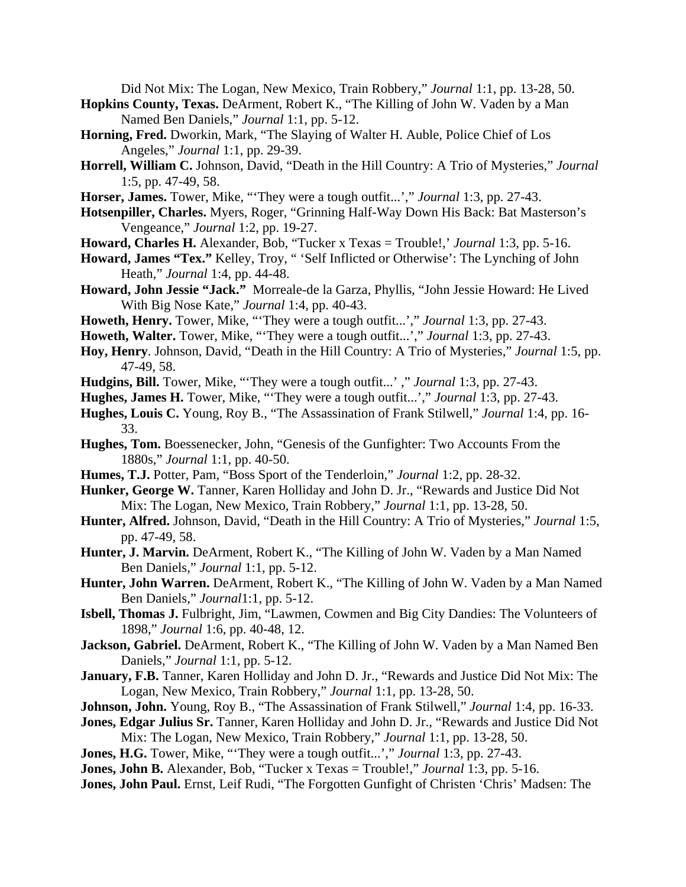Did Not Mix: The Logan, New Mexico, Train Robbery," *Journal* 1:1, pp. 13-28, 50.

- **Hopkins County, Texas.** DeArment, Robert K., "The Killing of John W. Vaden by a Man Named Ben Daniels," *Journal* 1:1, pp. 5-12.
- **Horning, Fred.** Dworkin, Mark, "The Slaying of Walter H. Auble, Police Chief of Los Angeles," *Journal* 1:1, pp. 29-39.
- **Horrell, William C.** Johnson, David, "Death in the Hill Country: A Trio of Mysteries," *Journal* 1:5, pp. 47-49, 58.
- **Horser, James.** Tower, Mike, "'They were a tough outfit...'," *Journal* 1:3, pp. 27-43.
- **Hotsenpiller, Charles.** Myers, Roger, "Grinning Half-Way Down His Back: Bat Masterson's Vengeance," *Journal* 1:2, pp. 19-27.
- **Howard, Charles H.** Alexander, Bob, "Tucker x Texas = Trouble!,' *Journal* 1:3, pp. 5-16.
- **Howard, James "Tex."** Kelley, Troy, " 'Self Inflicted or Otherwise': The Lynching of John Heath," *Journal* 1:4, pp. 44-48.
- **Howard, John Jessie "Jack."** Morreale-de la Garza, Phyllis, "John Jessie Howard: He Lived With Big Nose Kate," *Journal* 1:4, pp. 40-43.
- **Howeth, Henry.** Tower, Mike, "'They were a tough outfit...'," *Journal* 1:3, pp. 27-43.
- **Howeth, Walter.** Tower, Mike, "'They were a tough outfit...'," *Journal* 1:3, pp. 27-43.
- **Hoy, Henry**. Johnson, David, "Death in the Hill Country: A Trio of Mysteries," *Journal* 1:5, pp. 47-49, 58.
- **Hudgins, Bill.** Tower, Mike, "'They were a tough outfit...' ," *Journal* 1:3, pp. 27-43.
- **Hughes, James H.** Tower, Mike, "'They were a tough outfit...'," *Journal* 1:3, pp. 27-43.
- **Hughes, Louis C.** Young, Roy B., "The Assassination of Frank Stilwell," *Journal* 1:4, pp. 16- 33.
- **Hughes, Tom.** Boessenecker, John, "Genesis of the Gunfighter: Two Accounts From the 1880s," *Journal* 1:1, pp. 40-50.
- **Humes, T.J.** Potter, Pam, "Boss Sport of the Tenderloin," *Journal* 1:2, pp. 28-32.
- **Hunker, George W.** Tanner, Karen Holliday and John D. Jr., "Rewards and Justice Did Not Mix: The Logan, New Mexico, Train Robbery," *Journal* 1:1, pp. 13-28, 50.
- **Hunter, Alfred.** Johnson, David, "Death in the Hill Country: A Trio of Mysteries," *Journal* 1:5, pp. 47-49, 58.
- **Hunter, J. Marvin.** DeArment, Robert K., "The Killing of John W. Vaden by a Man Named Ben Daniels," *Journal* 1:1, pp. 5-12.
- **Hunter, John Warren.** DeArment, Robert K., "The Killing of John W. Vaden by a Man Named Ben Daniels," *Journal*1:1, pp. 5-12.
- **Isbell, Thomas J.** Fulbright, Jim, "Lawmen, Cowmen and Big City Dandies: The Volunteers of 1898," *Journal* 1:6, pp. 40-48, 12.
- **Jackson, Gabriel.** DeArment, Robert K., "The Killing of John W. Vaden by a Man Named Ben Daniels," *Journal* 1:1, pp. 5-12.
- **January, F.B.** Tanner, Karen Holliday and John D. Jr., "Rewards and Justice Did Not Mix: The Logan, New Mexico, Train Robbery," *Journal* 1:1, pp. 13-28, 50.
- **Johnson, John.** Young, Roy B., "The Assassination of Frank Stilwell," *Journal* 1:4, pp. 16-33.
- **Jones, Edgar Julius Sr.** Tanner, Karen Holliday and John D. Jr., "Rewards and Justice Did Not Mix: The Logan, New Mexico, Train Robbery," *Journal* 1:1, pp. 13-28, 50.
- **Jones, H.G.** Tower, Mike, "'They were a tough outfit...'," *Journal* 1:3, pp. 27-43.
- **Jones, John B.** Alexander, Bob, "Tucker x Texas = Trouble!," *Journal* 1:3, pp. 5-16.
- Jones, John Paul. Ernst, Leif Rudi, "The Forgotten Gunfight of Christen 'Chris' Madsen: The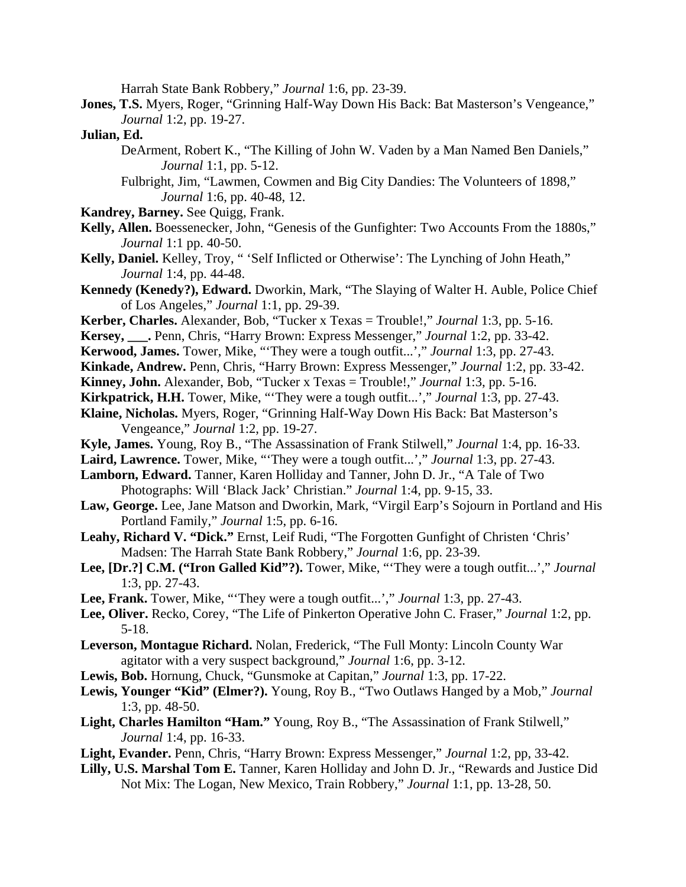Harrah State Bank Robbery," *Journal* 1:6, pp. 23-39.

**Jones, T.S.** Myers, Roger, "Grinning Half-Way Down His Back: Bat Masterson's Vengeance," *Journal* 1:2, pp. 19-27.

#### **Julian, Ed.**

DeArment, Robert K., "The Killing of John W. Vaden by a Man Named Ben Daniels," *Journal* 1:1, pp. 5-12.

Fulbright, Jim, "Lawmen, Cowmen and Big City Dandies: The Volunteers of 1898," *Journal* 1:6, pp. 40-48, 12.

- **Kandrey, Barney.** See Quigg, Frank.
- **Kelly, Allen.** Boessenecker, John, "Genesis of the Gunfighter: Two Accounts From the 1880s," *Journal* 1:1 pp. 40-50.
- **Kelly, Daniel.** Kelley, Troy, " 'Self Inflicted or Otherwise': The Lynching of John Heath," *Journal* 1:4, pp. 44-48.
- **Kennedy (Kenedy?), Edward.** Dworkin, Mark, "The Slaying of Walter H. Auble, Police Chief of Los Angeles," *Journal* 1:1, pp. 29-39.
- **Kerber, Charles.** Alexander, Bob, "Tucker x Texas = Trouble!," *Journal* 1:3, pp. 5-16.
- **Kersey, \_\_\_.** Penn, Chris, "Harry Brown: Express Messenger," *Journal* 1:2, pp. 33-42.
- **Kerwood, James.** Tower, Mike, "'They were a tough outfit...'," *Journal* 1:3, pp. 27-43.
- **Kinkade, Andrew.** Penn, Chris, "Harry Brown: Express Messenger," *Journal* 1:2, pp. 33-42.
- **Kinney, John.** Alexander, Bob, "Tucker x Texas = Trouble!," *Journal* 1:3, pp. 5-16.
- **Kirkpatrick, H.H.** Tower, Mike, "'They were a tough outfit...'," *Journal* 1:3, pp. 27-43.
- **Klaine, Nicholas.** Myers, Roger, "Grinning Half-Way Down His Back: Bat Masterson's Vengeance," *Journal* 1:2, pp. 19-27.
- **Kyle, James.** Young, Roy B., "The Assassination of Frank Stilwell," *Journal* 1:4, pp. 16-33.
- **Laird, Lawrence.** Tower, Mike, "'They were a tough outfit...'," *Journal* 1:3, pp. 27-43.
- **Lamborn, Edward.** Tanner, Karen Holliday and Tanner, John D. Jr., "A Tale of Two Photographs: Will 'Black Jack' Christian." *Journal* 1:4, pp. 9-15, 33.
- **Law, George.** Lee, Jane Matson and Dworkin, Mark, "Virgil Earp's Sojourn in Portland and His Portland Family," *Journal* 1:5, pp. 6-16.
- **Leahy, Richard V. "Dick."** Ernst, Leif Rudi, "The Forgotten Gunfight of Christen 'Chris' Madsen: The Harrah State Bank Robbery," *Journal* 1:6, pp. 23-39.
- **Lee, [Dr.?] C.M. ("Iron Galled Kid"?).** Tower, Mike, "'They were a tough outfit...'," *Journal* 1:3, pp. 27-43.
- **Lee, Frank.** Tower, Mike, "'They were a tough outfit...'," *Journal* 1:3, pp. 27-43.
- **Lee, Oliver.** Recko, Corey, "The Life of Pinkerton Operative John C. Fraser," *Journal* 1:2, pp. 5-18.
- **Leverson, Montague Richard.** Nolan, Frederick, "The Full Monty: Lincoln County War agitator with a very suspect background," *Journal* 1:6, pp. 3-12.
- **Lewis, Bob.** Hornung, Chuck, "Gunsmoke at Capitan," *Journal* 1:3, pp. 17-22.
- **Lewis, Younger "Kid" (Elmer?).** Young, Roy B., "Two Outlaws Hanged by a Mob," *Journal* 1:3, pp. 48-50.
- **Light, Charles Hamilton "Ham."** Young, Roy B., "The Assassination of Frank Stilwell," *Journal* 1:4, pp. 16-33.
- **Light, Evander.** Penn, Chris, "Harry Brown: Express Messenger," *Journal* 1:2, pp, 33-42.
- **Lilly, U.S. Marshal Tom E.** Tanner, Karen Holliday and John D. Jr., "Rewards and Justice Did Not Mix: The Logan, New Mexico, Train Robbery," *Journal* 1:1, pp. 13-28, 50.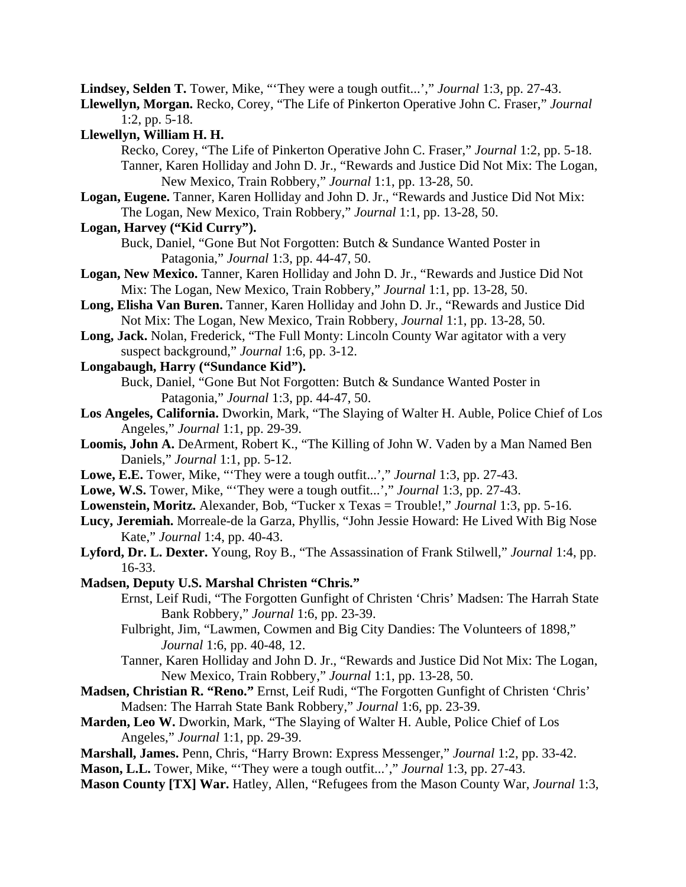**Lindsey, Selden T.** Tower, Mike, "'They were a tough outfit...'," *Journal* 1:3, pp. 27-43.

**Llewellyn, Morgan.** Recko, Corey, "The Life of Pinkerton Operative John C. Fraser," *Journal* 1:2, pp. 5-18.

**Llewellyn, William H. H.**

 Recko, Corey, "The Life of Pinkerton Operative John C. Fraser," *Journal* 1:2, pp. 5-18. Tanner, Karen Holliday and John D. Jr., "Rewards and Justice Did Not Mix: The Logan, New Mexico, Train Robbery," *Journal* 1:1, pp. 13-28, 50.

**Logan, Eugene.** Tanner, Karen Holliday and John D. Jr., "Rewards and Justice Did Not Mix: The Logan, New Mexico, Train Robbery," *Journal* 1:1, pp. 13-28, 50.

# **Logan, Harvey ("Kid Curry").**

Buck, Daniel, "Gone But Not Forgotten: Butch & Sundance Wanted Poster in Patagonia," *Journal* 1:3, pp. 44-47, 50.

- **Logan, New Mexico.** Tanner, Karen Holliday and John D. Jr., "Rewards and Justice Did Not Mix: The Logan, New Mexico, Train Robbery," *Journal* 1:1, pp. 13-28, 50.
- **Long, Elisha Van Buren.** Tanner, Karen Holliday and John D. Jr., "Rewards and Justice Did Not Mix: The Logan, New Mexico, Train Robbery, *Journal* 1:1, pp. 13-28, 50.
- **Long, Jack.** Nolan, Frederick, "The Full Monty: Lincoln County War agitator with a very suspect background," *Journal* 1:6, pp. 3-12.
- **Longabaugh, Harry ("Sundance Kid").**

Buck, Daniel, "Gone But Not Forgotten: Butch & Sundance Wanted Poster in Patagonia," *Journal* 1:3, pp. 44-47, 50.

- **Los Angeles, California.** Dworkin, Mark, "The Slaying of Walter H. Auble, Police Chief of Los Angeles," *Journal* 1:1, pp. 29-39.
- **Loomis, John A.** DeArment, Robert K., "The Killing of John W. Vaden by a Man Named Ben Daniels," *Journal* 1:1, pp. 5-12.
- **Lowe, E.E.** Tower, Mike, "'They were a tough outfit...'," *Journal* 1:3, pp. 27-43.
- **Lowe, W.S.** Tower, Mike, "'They were a tough outfit...'," *Journal* 1:3, pp. 27-43.
- **Lowenstein, Moritz.** Alexander, Bob, "Tucker x Texas = Trouble!," *Journal* 1:3, pp. 5-16.
- **Lucy, Jeremiah.** Morreale-de la Garza, Phyllis, "John Jessie Howard: He Lived With Big Nose Kate," *Journal* 1:4, pp. 40-43.
- **Lyford, Dr. L. Dexter.** Young, Roy B., "The Assassination of Frank Stilwell," *Journal* 1:4, pp. 16-33.
- **Madsen, Deputy U.S. Marshal Christen "Chris."**
	- Ernst, Leif Rudi, "The Forgotten Gunfight of Christen 'Chris' Madsen: The Harrah State Bank Robbery," *Journal* 1:6, pp. 23-39.
	- Fulbright, Jim, "Lawmen, Cowmen and Big City Dandies: The Volunteers of 1898," *Journal* 1:6, pp. 40-48, 12.
	- Tanner, Karen Holliday and John D. Jr., "Rewards and Justice Did Not Mix: The Logan, New Mexico, Train Robbery," *Journal* 1:1, pp. 13-28, 50.
- **Madsen, Christian R. "Reno."** Ernst, Leif Rudi, "The Forgotten Gunfight of Christen 'Chris' Madsen: The Harrah State Bank Robbery," *Journal* 1:6, pp. 23-39.
- **Marden, Leo W.** Dworkin, Mark, "The Slaying of Walter H. Auble, Police Chief of Los Angeles," *Journal* 1:1, pp. 29-39.
- **Marshall, James.** Penn, Chris, "Harry Brown: Express Messenger," *Journal* 1:2, pp. 33-42.
- **Mason, L.L.** Tower, Mike, "'They were a tough outfit...'," *Journal* 1:3, pp. 27-43.
- **Mason County [TX] War.** Hatley, Allen, "Refugees from the Mason County War, *Journal* 1:3,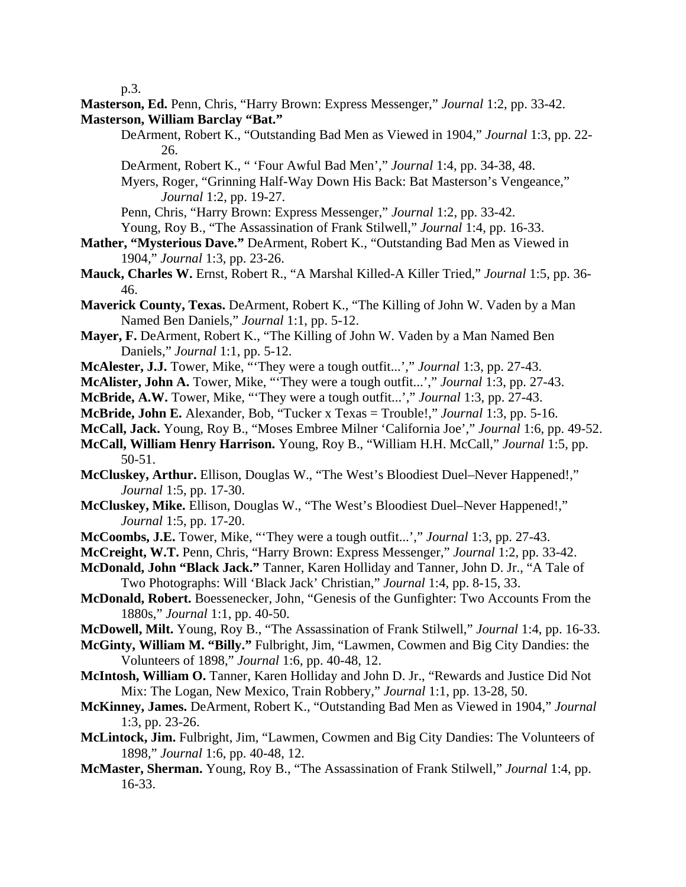p.3.

**Masterson, Ed.** Penn, Chris, "Harry Brown: Express Messenger," *Journal* 1:2, pp. 33-42. **Masterson, William Barclay "Bat."** 

- DeArment, Robert K., "Outstanding Bad Men as Viewed in 1904," *Journal* 1:3, pp. 22- 26.
- DeArment, Robert K., " 'Four Awful Bad Men'," *Journal* 1:4, pp. 34-38, 48.

Myers, Roger, "Grinning Half-Way Down His Back: Bat Masterson's Vengeance," *Journal* 1:2, pp. 19-27.

Penn, Chris, "Harry Brown: Express Messenger," *Journal* 1:2, pp. 33-42.

- Young, Roy B., "The Assassination of Frank Stilwell," *Journal* 1:4, pp. 16-33.
- **Mather, "Mysterious Dave."** DeArment, Robert K., "Outstanding Bad Men as Viewed in 1904," *Journal* 1:3, pp. 23-26.
- **Mauck, Charles W.** Ernst, Robert R., "A Marshal Killed-A Killer Tried," *Journal* 1:5, pp. 36- 46.
- **Maverick County, Texas.** DeArment, Robert K., "The Killing of John W. Vaden by a Man Named Ben Daniels," *Journal* 1:1, pp. 5-12.
- **Mayer, F.** DeArment, Robert K., "The Killing of John W. Vaden by a Man Named Ben Daniels," *Journal* 1:1, pp. 5-12.
- **McAlester, J.J.** Tower, Mike, "'They were a tough outfit...'," *Journal* 1:3, pp. 27-43.
- **McAlister, John A.** Tower, Mike, "'They were a tough outfit...'," *Journal* 1:3, pp. 27-43.
- **McBride, A.W.** Tower, Mike, "'They were a tough outfit...'," *Journal* 1:3, pp. 27-43.
- **McBride, John E.** Alexander, Bob, "Tucker x Texas = Trouble!," *Journal* 1:3, pp. 5-16.
- **McCall, Jack.** Young, Roy B., "Moses Embree Milner 'California Joe'," *Journal* 1:6, pp. 49-52.
- **McCall, William Henry Harrison.** Young, Roy B., "William H.H. McCall," *Journal* 1:5, pp. 50-51.
- **McCluskey, Arthur.** Ellison, Douglas W., "The West's Bloodiest Duel–Never Happened!," *Journal* 1:5, pp. 17-30.
- **McCluskey, Mike.** Ellison, Douglas W., "The West's Bloodiest Duel–Never Happened!," *Journal* 1:5, pp. 17-20.
- **McCoombs, J.E.** Tower, Mike, "'They were a tough outfit...'," *Journal* 1:3, pp. 27-43.
- **McCreight, W.T.** Penn, Chris, "Harry Brown: Express Messenger," *Journal* 1:2, pp. 33-42.
- **McDonald, John "Black Jack."** Tanner, Karen Holliday and Tanner, John D. Jr., "A Tale of Two Photographs: Will 'Black Jack' Christian," *Journal* 1:4, pp. 8-15, 33.
- **McDonald, Robert.** Boessenecker, John, "Genesis of the Gunfighter: Two Accounts From the 1880s," *Journal* 1:1, pp. 40-50.
- **McDowell, Milt.** Young, Roy B., "The Assassination of Frank Stilwell," *Journal* 1:4, pp. 16-33.
- **McGinty, William M. "Billy."** Fulbright, Jim, "Lawmen, Cowmen and Big City Dandies: the Volunteers of 1898," *Journal* 1:6, pp. 40-48, 12.
- **McIntosh, William O.** Tanner, Karen Holliday and John D. Jr., "Rewards and Justice Did Not Mix: The Logan, New Mexico, Train Robbery," *Journal* 1:1, pp. 13-28, 50.
- **McKinney, James.** DeArment, Robert K., "Outstanding Bad Men as Viewed in 1904," *Journal* 1:3, pp. 23-26.
- **McLintock, Jim.** Fulbright, Jim, "Lawmen, Cowmen and Big City Dandies: The Volunteers of 1898," *Journal* 1:6, pp. 40-48, 12.
- **McMaster, Sherman.** Young, Roy B., "The Assassination of Frank Stilwell," *Journal* 1:4, pp. 16-33.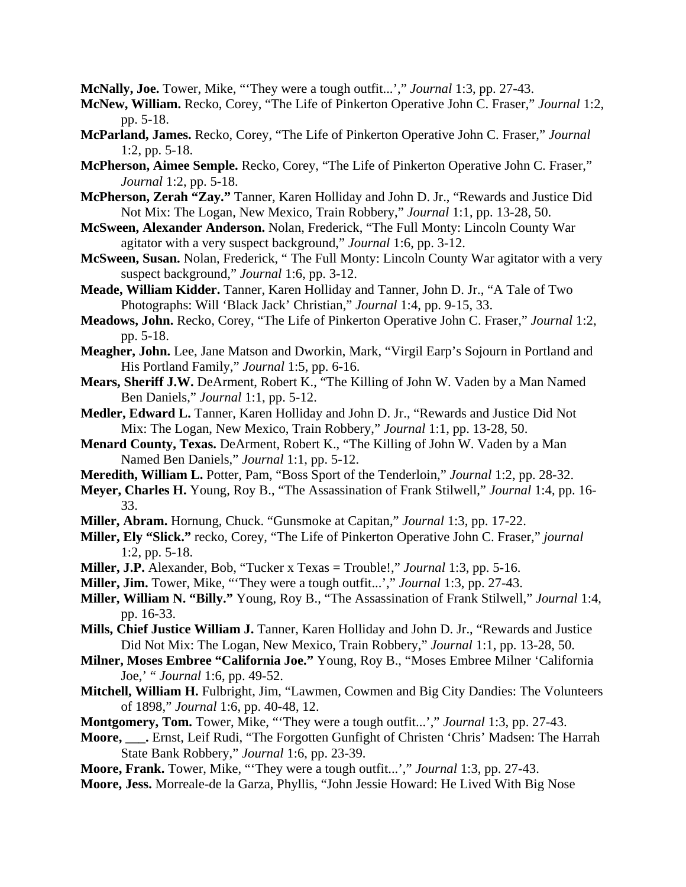**McNally, Joe.** Tower, Mike, "'They were a tough outfit...'," *Journal* 1:3, pp. 27-43.

**McNew, William.** Recko, Corey, "The Life of Pinkerton Operative John C. Fraser," *Journal* 1:2, pp. 5-18.

- **McParland, James.** Recko, Corey, "The Life of Pinkerton Operative John C. Fraser," *Journal* 1:2, pp. 5-18.
- **McPherson, Aimee Semple.** Recko, Corey, "The Life of Pinkerton Operative John C. Fraser," *Journal* 1:2, pp. 5-18.
- **McPherson, Zerah "Zay."** Tanner, Karen Holliday and John D. Jr., "Rewards and Justice Did Not Mix: The Logan, New Mexico, Train Robbery," *Journal* 1:1, pp. 13-28, 50.
- **McSween, Alexander Anderson.** Nolan, Frederick, "The Full Monty: Lincoln County War agitator with a very suspect background," *Journal* 1:6, pp. 3-12.
- **McSween, Susan.** Nolan, Frederick, " The Full Monty: Lincoln County War agitator with a very suspect background," *Journal* 1:6, pp. 3-12.
- **Meade, William Kidder.** Tanner, Karen Holliday and Tanner, John D. Jr., "A Tale of Two Photographs: Will 'Black Jack' Christian," *Journal* 1:4, pp. 9-15, 33.
- **Meadows, John.** Recko, Corey, "The Life of Pinkerton Operative John C. Fraser," *Journal* 1:2, pp. 5-18.
- **Meagher, John.** Lee, Jane Matson and Dworkin, Mark, "Virgil Earp's Sojourn in Portland and His Portland Family," *Journal* 1:5, pp. 6-16.
- **Mears, Sheriff J.W.** DeArment, Robert K., "The Killing of John W. Vaden by a Man Named Ben Daniels," *Journal* 1:1, pp. 5-12.
- **Medler, Edward L.** Tanner, Karen Holliday and John D. Jr., "Rewards and Justice Did Not Mix: The Logan, New Mexico, Train Robbery," *Journal* 1:1, pp. 13-28, 50.
- **Menard County, Texas.** DeArment, Robert K., "The Killing of John W. Vaden by a Man Named Ben Daniels," *Journal* 1:1, pp. 5-12.
- **Meredith, William L.** Potter, Pam, "Boss Sport of the Tenderloin," *Journal* 1:2, pp. 28-32.
- **Meyer, Charles H.** Young, Roy B., "The Assassination of Frank Stilwell," *Journal* 1:4, pp. 16- 33.
- **Miller, Abram.** Hornung, Chuck. "Gunsmoke at Capitan," *Journal* 1:3, pp. 17-22.
- **Miller, Ely "Slick."** recko, Corey, "The Life of Pinkerton Operative John C. Fraser," *journal* 1:2, pp. 5-18.
- **Miller, J.P.** Alexander, Bob, "Tucker x Texas = Trouble!," *Journal* 1:3, pp. 5-16.
- **Miller, Jim.** Tower, Mike, "'They were a tough outfit...'," *Journal* 1:3, pp. 27-43.
- **Miller, William N. "Billy."** Young, Roy B., "The Assassination of Frank Stilwell," *Journal* 1:4, pp. 16-33.
- **Mills, Chief Justice William J.** Tanner, Karen Holliday and John D. Jr., "Rewards and Justice Did Not Mix: The Logan, New Mexico, Train Robbery," *Journal* 1:1, pp. 13-28, 50.
- **Milner, Moses Embree "California Joe."** Young, Roy B., "Moses Embree Milner 'California Joe,' " *Journal* 1:6, pp. 49-52.
- **Mitchell, William H.** Fulbright, Jim, "Lawmen, Cowmen and Big City Dandies: The Volunteers of 1898," *Journal* 1:6, pp. 40-48, 12.
- **Montgomery, Tom.** Tower, Mike, "'They were a tough outfit...'," *Journal* 1:3, pp. 27-43.
- **Moore, \_\_\_.** Ernst, Leif Rudi, "The Forgotten Gunfight of Christen 'Chris' Madsen: The Harrah State Bank Robbery," *Journal* 1:6, pp. 23-39.
- **Moore, Frank.** Tower, Mike, "'They were a tough outfit...'," *Journal* 1:3, pp. 27-43.
- **Moore, Jess.** Morreale-de la Garza, Phyllis, "John Jessie Howard: He Lived With Big Nose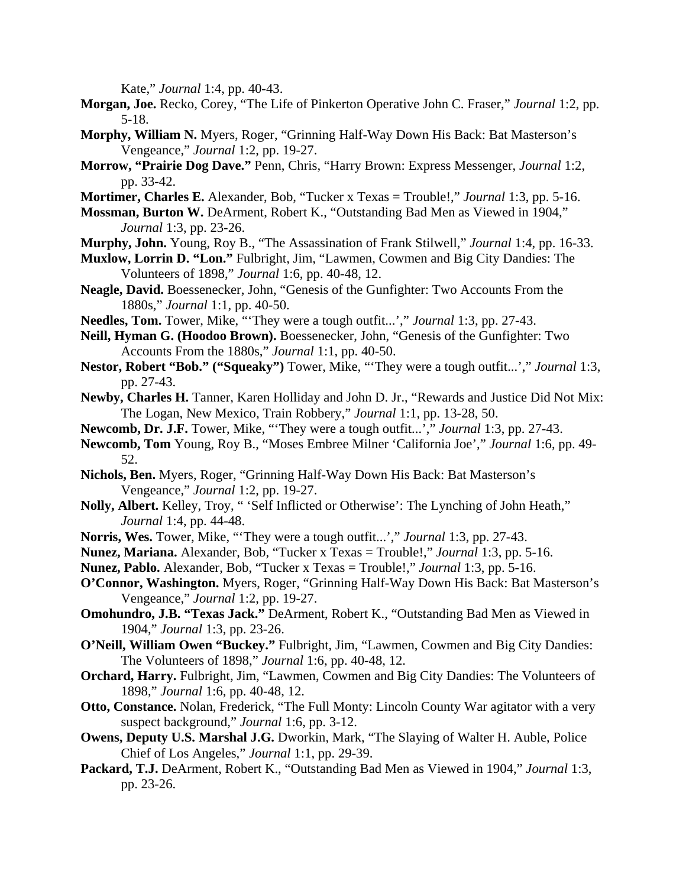Kate," *Journal* 1:4, pp. 40-43.

- **Morgan, Joe.** Recko, Corey, "The Life of Pinkerton Operative John C. Fraser," *Journal* 1:2, pp. 5-18.
- **Morphy, William N.** Myers, Roger, "Grinning Half-Way Down His Back: Bat Masterson's Vengeance," *Journal* 1:2, pp. 19-27.
- **Morrow, "Prairie Dog Dave."** Penn, Chris, "Harry Brown: Express Messenger, *Journal* 1:2, pp. 33-42.
- **Mortimer, Charles E.** Alexander, Bob, "Tucker x Texas = Trouble!," *Journal* 1:3, pp. 5-16.
- **Mossman, Burton W.** DeArment, Robert K., "Outstanding Bad Men as Viewed in 1904," *Journal* 1:3, pp. 23-26.
- **Murphy, John.** Young, Roy B., "The Assassination of Frank Stilwell," *Journal* 1:4, pp. 16-33.
- **Muxlow, Lorrin D. "Lon."** Fulbright, Jim, "Lawmen, Cowmen and Big City Dandies: The Volunteers of 1898," *Journal* 1:6, pp. 40-48, 12.
- **Neagle, David.** Boessenecker, John, "Genesis of the Gunfighter: Two Accounts From the 1880s," *Journal* 1:1, pp. 40-50.
- **Needles, Tom.** Tower, Mike, "'They were a tough outfit...'," *Journal* 1:3, pp. 27-43.
- **Neill, Hyman G. (Hoodoo Brown).** Boessenecker, John, "Genesis of the Gunfighter: Two Accounts From the 1880s," *Journal* 1:1, pp. 40-50.
- **Nestor, Robert "Bob." ("Squeaky")** Tower, Mike, "'They were a tough outfit...'," *Journal* 1:3, pp. 27-43.
- **Newby, Charles H.** Tanner, Karen Holliday and John D. Jr., "Rewards and Justice Did Not Mix: The Logan, New Mexico, Train Robbery," *Journal* 1:1, pp. 13-28, 50.
- **Newcomb, Dr. J.F.** Tower, Mike, "'They were a tough outfit...'," *Journal* 1:3, pp. 27-43.
- **Newcomb, Tom** Young, Roy B., "Moses Embree Milner 'California Joe'," *Journal* 1:6, pp. 49- 52.
- **Nichols, Ben.** Myers, Roger, "Grinning Half-Way Down His Back: Bat Masterson's Vengeance," *Journal* 1:2, pp. 19-27.
- **Nolly, Albert.** Kelley, Troy, " 'Self Inflicted or Otherwise': The Lynching of John Heath," *Journal* 1:4, pp. 44-48.
- **Norris, Wes.** Tower, Mike, "'They were a tough outfit...'," *Journal* 1:3, pp. 27-43.
- **Nunez, Mariana.** Alexander, Bob, "Tucker x Texas = Trouble!," *Journal* 1:3, pp. 5-16.
- **Nunez, Pablo.** Alexander, Bob, "Tucker x Texas = Trouble!," *Journal* 1:3, pp. 5-16.
- **O'Connor, Washington.** Myers, Roger, "Grinning Half-Way Down His Back: Bat Masterson's Vengeance," *Journal* 1:2, pp. 19-27.
- **Omohundro, J.B. "Texas Jack."** DeArment, Robert K., "Outstanding Bad Men as Viewed in 1904," *Journal* 1:3, pp. 23-26.
- **O'Neill, William Owen "Buckey."** Fulbright, Jim, "Lawmen, Cowmen and Big City Dandies: The Volunteers of 1898," *Journal* 1:6, pp. 40-48, 12.
- **Orchard, Harry.** Fulbright, Jim, "Lawmen, Cowmen and Big City Dandies: The Volunteers of 1898," *Journal* 1:6, pp. 40-48, 12.
- **Otto, Constance.** Nolan, Frederick, "The Full Monty: Lincoln County War agitator with a very suspect background," *Journal* 1:6, pp. 3-12.
- **Owens, Deputy U.S. Marshal J.G.** Dworkin, Mark, "The Slaying of Walter H. Auble, Police Chief of Los Angeles," *Journal* 1:1, pp. 29-39.
- **Packard, T.J.** DeArment, Robert K., "Outstanding Bad Men as Viewed in 1904," *Journal* 1:3, pp. 23-26.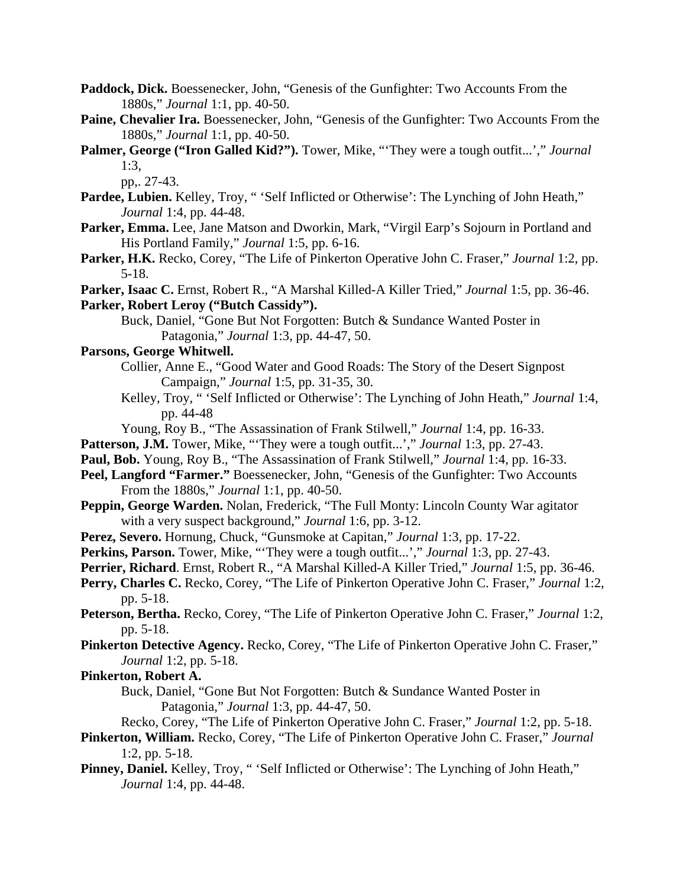- Paddock, Dick. Boessenecker, John, "Genesis of the Gunfighter: Two Accounts From the 1880s," *Journal* 1:1, pp. 40-50.
- Paine, Chevalier Ira. Boessenecker, John, "Genesis of the Gunfighter: Two Accounts From the 1880s," *Journal* 1:1, pp. 40-50.
- **Palmer, George ("Iron Galled Kid?").** Tower, Mike, "'They were a tough outfit...'," *Journal* 1:3,

pp,. 27-43.

- Pardee, Lubien. Kelley, Troy, "Self Inflicted or Otherwise': The Lynching of John Heath," *Journal* 1:4, pp. 44-48.
- **Parker, Emma.** Lee, Jane Matson and Dworkin, Mark, "Virgil Earp's Sojourn in Portland and His Portland Family," *Journal* 1:5, pp. 6-16.
- **Parker, H.K.** Recko, Corey, "The Life of Pinkerton Operative John C. Fraser," *Journal* 1:2, pp. 5-18.
- **Parker, Isaac C.** Ernst, Robert R., "A Marshal Killed-A Killer Tried," *Journal* 1:5, pp. 36-46. **Parker, Robert Leroy ("Butch Cassidy").**
	- Buck, Daniel, "Gone But Not Forgotten: Butch & Sundance Wanted Poster in Patagonia," *Journal* 1:3, pp. 44-47, 50.

# **Parsons, George Whitwell.**

- Collier, Anne E., "Good Water and Good Roads: The Story of the Desert Signpost Campaign," *Journal* 1:5, pp. 31-35, 30.
	- Kelley, Troy, " 'Self Inflicted or Otherwise': The Lynching of John Heath," *Journal* 1:4, pp. 44-48
	- Young, Roy B., "The Assassination of Frank Stilwell," *Journal* 1:4, pp. 16-33.
- Patterson, J.M. Tower, Mike, "They were a tough outfit...'," *Journal* 1:3, pp. 27-43.
- **Paul, Bob.** Young, Roy B., "The Assassination of Frank Stilwell," *Journal* 1:4, pp. 16-33.
- Peel, Langford "Farmer." Boessenecker, John, "Genesis of the Gunfighter: Two Accounts From the 1880s," *Journal* 1:1, pp. 40-50.
- **Peppin, George Warden.** Nolan, Frederick, "The Full Monty: Lincoln County War agitator with a very suspect background," *Journal* 1:6, pp. 3-12.
- **Perez, Severo.** Hornung, Chuck, "Gunsmoke at Capitan," *Journal* 1:3, pp. 17-22.
- **Perkins, Parson.** Tower, Mike, "'They were a tough outfit...'," *Journal* 1:3, pp. 27-43.
- **Perrier, Richard**. Ernst, Robert R., "A Marshal Killed-A Killer Tried," *Journal* 1:5, pp. 36-46.
- **Perry, Charles C.** Recko, Corey, "The Life of Pinkerton Operative John C. Fraser," *Journal* 1:2, pp. 5-18.
- **Peterson, Bertha.** Recko, Corey, "The Life of Pinkerton Operative John C. Fraser," *Journal* 1:2, pp. 5-18.
- **Pinkerton Detective Agency.** Recko, Corey, "The Life of Pinkerton Operative John C. Fraser," *Journal* 1:2, pp. 5-18.

**Pinkerton, Robert A.**

- Buck, Daniel, "Gone But Not Forgotten: Butch & Sundance Wanted Poster in Patagonia," *Journal* 1:3, pp. 44-47, 50.
- Recko, Corey, "The Life of Pinkerton Operative John C. Fraser," *Journal* 1:2, pp. 5-18.
- **Pinkerton, William.** Recko, Corey, "The Life of Pinkerton Operative John C. Fraser," *Journal* 1:2, pp. 5-18.
- Pinney, Daniel. Kelley, Troy, " 'Self Inflicted or Otherwise': The Lynching of John Heath," *Journal* 1:4, pp. 44-48.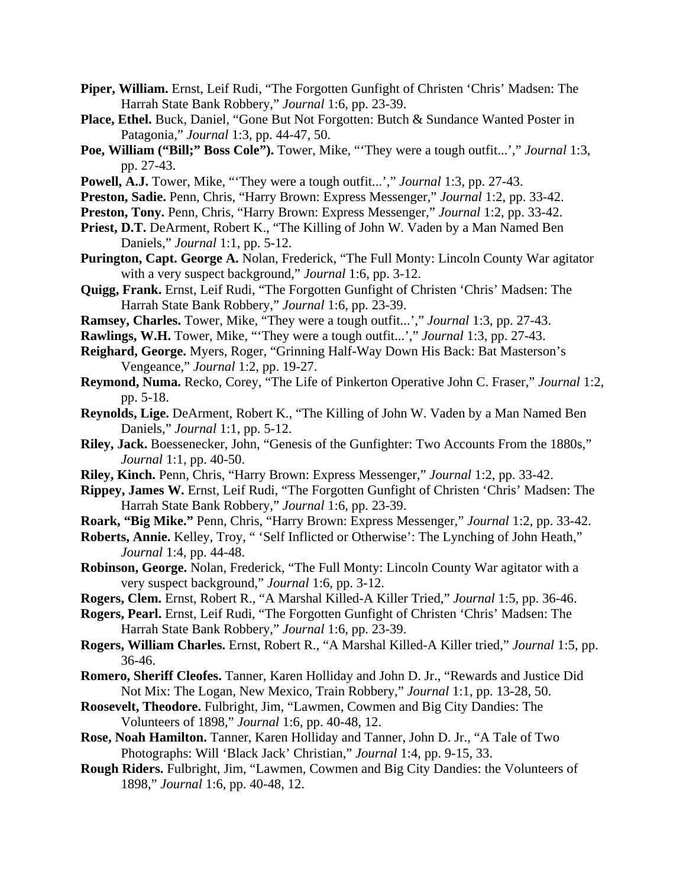- Piper, William. Ernst, Leif Rudi, "The Forgotten Gunfight of Christen 'Chris' Madsen: The Harrah State Bank Robbery," *Journal* 1:6, pp. 23-39.
- **Place, Ethel.** Buck, Daniel, "Gone But Not Forgotten: Butch & Sundance Wanted Poster in Patagonia," *Journal* 1:3, pp. 44-47, 50.
- **Poe, William ("Bill;" Boss Cole").** Tower, Mike, "'They were a tough outfit...'," *Journal* 1:3, pp. 27-43.
- **Powell, A.J.** Tower, Mike, "'They were a tough outfit...'," *Journal* 1:3, pp. 27-43.
- **Preston, Sadie.** Penn, Chris, "Harry Brown: Express Messenger," *Journal* 1:2, pp. 33-42.
- **Preston, Tony.** Penn, Chris, "Harry Brown: Express Messenger," *Journal* 1:2, pp. 33-42.
- **Priest, D.T.** DeArment, Robert K., "The Killing of John W. Vaden by a Man Named Ben Daniels," *Journal* 1:1, pp. 5-12.
- **Purington, Capt. George A.** Nolan, Frederick, "The Full Monty: Lincoln County War agitator with a very suspect background," *Journal* 1:6, pp. 3-12.
- **Quigg, Frank.** Ernst, Leif Rudi, "The Forgotten Gunfight of Christen 'Chris' Madsen: The Harrah State Bank Robbery," *Journal* 1:6, pp. 23-39.
- **Ramsey, Charles.** Tower, Mike, "They were a tough outfit...'," *Journal* 1:3, pp. 27-43.
- **Rawlings, W.H.** Tower, Mike, "'They were a tough outfit...'," *Journal* 1:3, pp. 27-43.
- **Reighard, George.** Myers, Roger, "Grinning Half-Way Down His Back: Bat Masterson's Vengeance," *Journal* 1:2, pp. 19-27.
- **Reymond, Numa.** Recko, Corey, "The Life of Pinkerton Operative John C. Fraser," *Journal* 1:2, pp. 5-18.
- **Reynolds, Lige.** DeArment, Robert K., "The Killing of John W. Vaden by a Man Named Ben Daniels," *Journal* 1:1, pp. 5-12.
- **Riley, Jack.** Boessenecker, John, "Genesis of the Gunfighter: Two Accounts From the 1880s," *Journal* 1:1, pp. 40-50.
- **Riley, Kinch.** Penn, Chris, "Harry Brown: Express Messenger," *Journal* 1:2, pp. 33-42.
- **Rippey, James W.** Ernst, Leif Rudi, "The Forgotten Gunfight of Christen 'Chris' Madsen: The Harrah State Bank Robbery," *Journal* 1:6, pp. 23-39.
- **Roark, "Big Mike."** Penn, Chris, "Harry Brown: Express Messenger," *Journal* 1:2, pp. 33-42.
- **Roberts, Annie.** Kelley, Troy, " 'Self Inflicted or Otherwise': The Lynching of John Heath," *Journal* 1:4, pp. 44-48.
- **Robinson, George.** Nolan, Frederick, "The Full Monty: Lincoln County War agitator with a very suspect background," *Journal* 1:6, pp. 3-12.
- **Rogers, Clem.** Ernst, Robert R., "A Marshal Killed-A Killer Tried," *Journal* 1:5, pp. 36-46.
- **Rogers, Pearl.** Ernst, Leif Rudi, "The Forgotten Gunfight of Christen 'Chris' Madsen: The Harrah State Bank Robbery," *Journal* 1:6, pp. 23-39.
- **Rogers, William Charles.** Ernst, Robert R., "A Marshal Killed-A Killer tried," *Journal* 1:5, pp. 36-46.
- **Romero, Sheriff Cleofes.** Tanner, Karen Holliday and John D. Jr., "Rewards and Justice Did Not Mix: The Logan, New Mexico, Train Robbery," *Journal* 1:1, pp. 13-28, 50.
- **Roosevelt, Theodore.** Fulbright, Jim, "Lawmen, Cowmen and Big City Dandies: The Volunteers of 1898," *Journal* 1:6, pp. 40-48, 12.
- **Rose, Noah Hamilton.** Tanner, Karen Holliday and Tanner, John D. Jr., "A Tale of Two Photographs: Will 'Black Jack' Christian," *Journal* 1:4, pp. 9-15, 33.
- **Rough Riders.** Fulbright, Jim, "Lawmen, Cowmen and Big City Dandies: the Volunteers of 1898," *Journal* 1:6, pp. 40-48, 12.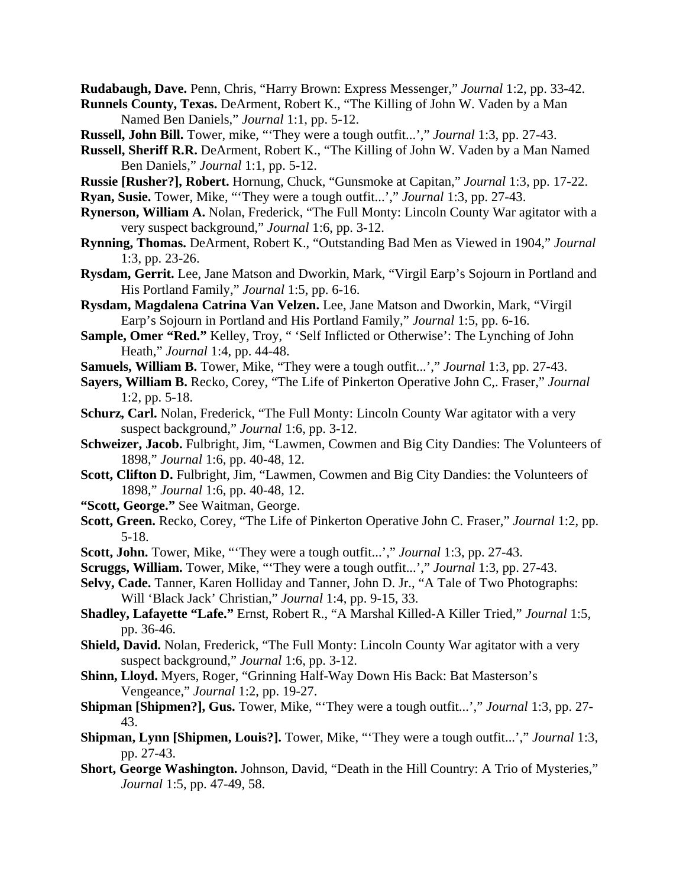**Rudabaugh, Dave.** Penn, Chris, "Harry Brown: Express Messenger," *Journal* 1:2, pp. 33-42.

- **Runnels County, Texas.** DeArment, Robert K., "The Killing of John W. Vaden by a Man Named Ben Daniels," *Journal* 1:1, pp. 5-12.
- **Russell, John Bill.** Tower, mike, "'They were a tough outfit...'," *Journal* 1:3, pp. 27-43.
- **Russell, Sheriff R.R.** DeArment, Robert K., "The Killing of John W. Vaden by a Man Named Ben Daniels," *Journal* 1:1, pp. 5-12.
- **Russie [Rusher?], Robert.** Hornung, Chuck, "Gunsmoke at Capitan," *Journal* 1:3, pp. 17-22.
- **Ryan, Susie.** Tower, Mike, "'They were a tough outfit...'," *Journal* 1:3, pp. 27-43.
- **Rynerson, William A.** Nolan, Frederick, "The Full Monty: Lincoln County War agitator with a very suspect background," *Journal* 1:6, pp. 3-12.
- **Rynning, Thomas.** DeArment, Robert K., "Outstanding Bad Men as Viewed in 1904," *Journal* 1:3, pp. 23-26.
- **Rysdam, Gerrit.** Lee, Jane Matson and Dworkin, Mark, "Virgil Earp's Sojourn in Portland and His Portland Family," *Journal* 1:5, pp. 6-16.
- **Rysdam, Magdalena Catrina Van Velzen.** Lee, Jane Matson and Dworkin, Mark, "Virgil Earp's Sojourn in Portland and His Portland Family," *Journal* 1:5, pp. 6-16.
- **Sample, Omer "Red."** Kelley, Troy, " 'Self Inflicted or Otherwise': The Lynching of John Heath," *Journal* 1:4, pp. 44-48.
- **Samuels, William B.** Tower, Mike, "They were a tough outfit...'," *Journal* 1:3, pp. 27-43.
- **Sayers, William B.** Recko, Corey, "The Life of Pinkerton Operative John C,. Fraser," *Journal* 1:2, pp. 5-18.
- Schurz, Carl. Nolan, Frederick, "The Full Monty: Lincoln County War agitator with a very suspect background," *Journal* 1:6, pp. 3-12.
- **Schweizer, Jacob.** Fulbright, Jim, "Lawmen, Cowmen and Big City Dandies: The Volunteers of 1898," *Journal* 1:6, pp. 40-48, 12.
- Scott, Clifton D. Fulbright, Jim, "Lawmen, Cowmen and Big City Dandies: the Volunteers of 1898," *Journal* 1:6, pp. 40-48, 12.
- **"Scott, George."** See Waitman, George.
- **Scott, Green.** Recko, Corey, "The Life of Pinkerton Operative John C. Fraser," *Journal* 1:2, pp. 5-18.
- **Scott, John.** Tower, Mike, "'They were a tough outfit...'," *Journal* 1:3, pp. 27-43.
- **Scruggs, William.** Tower, Mike, "'They were a tough outfit...'," *Journal* 1:3, pp. 27-43.
- **Selvy, Cade.** Tanner, Karen Holliday and Tanner, John D. Jr., "A Tale of Two Photographs: Will 'Black Jack' Christian," *Journal* 1:4, pp. 9-15, 33.
- **Shadley, Lafayette "Lafe."** Ernst, Robert R., "A Marshal Killed-A Killer Tried," *Journal* 1:5, pp. 36-46.
- **Shield, David.** Nolan, Frederick, "The Full Monty: Lincoln County War agitator with a very suspect background," *Journal* 1:6, pp. 3-12.
- **Shinn, Lloyd.** Myers, Roger, "Grinning Half-Way Down His Back: Bat Masterson's Vengeance," *Journal* 1:2, pp. 19-27.
- **Shipman [Shipmen?], Gus.** Tower, Mike, "'They were a tough outfit...'," *Journal* 1:3, pp. 27- 43.
- **Shipman, Lynn [Shipmen, Louis?].** Tower, Mike, "'They were a tough outfit...'," *Journal* 1:3, pp. 27-43.
- **Short, George Washington.** Johnson, David, "Death in the Hill Country: A Trio of Mysteries," *Journal* 1:5, pp. 47-49, 58.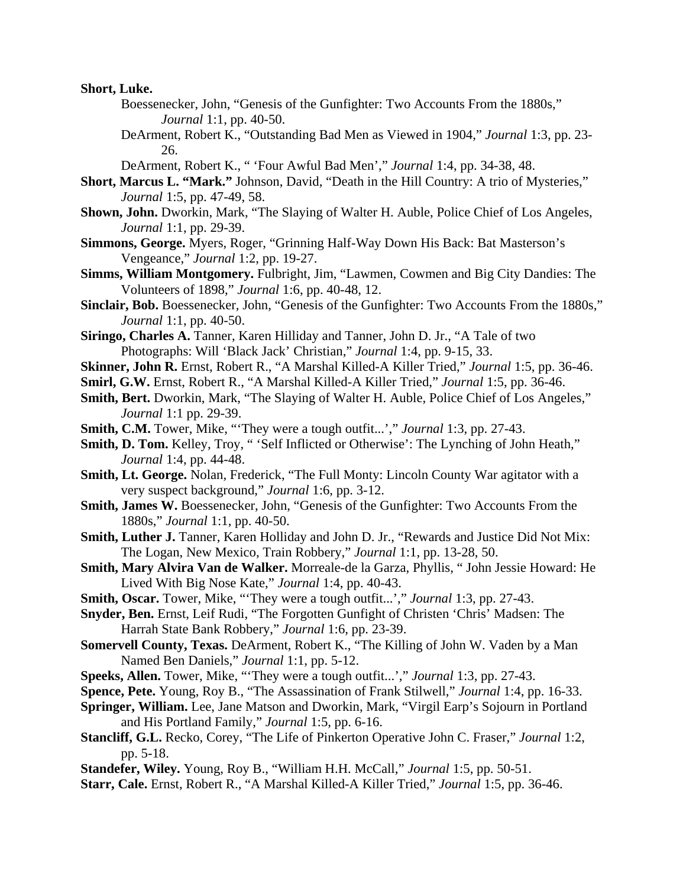**Short, Luke.**

- Boessenecker, John, "Genesis of the Gunfighter: Two Accounts From the 1880s," *Journal* 1:1, pp. 40-50.
- DeArment, Robert K., "Outstanding Bad Men as Viewed in 1904," *Journal* 1:3, pp. 23- 26.

DeArment, Robert K., " 'Four Awful Bad Men'," *Journal* 1:4, pp. 34-38, 48.

- **Short, Marcus L. "Mark."** Johnson, David, "Death in the Hill Country: A trio of Mysteries," *Journal* 1:5, pp. 47-49, 58.
- **Shown, John.** Dworkin, Mark, "The Slaying of Walter H. Auble, Police Chief of Los Angeles, *Journal* 1:1, pp. 29-39.
- **Simmons, George.** Myers, Roger, "Grinning Half-Way Down His Back: Bat Masterson's Vengeance," *Journal* 1:2, pp. 19-27.
- **Simms, William Montgomery.** Fulbright, Jim, "Lawmen, Cowmen and Big City Dandies: The Volunteers of 1898," *Journal* 1:6, pp. 40-48, 12.
- Sinclair, Bob. Boessenecker, John, "Genesis of the Gunfighter: Two Accounts From the 1880s," *Journal* 1:1, pp. 40-50.
- **Siringo, Charles A.** Tanner, Karen Hilliday and Tanner, John D. Jr., "A Tale of two Photographs: Will 'Black Jack' Christian," *Journal* 1:4, pp. 9-15, 33.
- **Skinner, John R.** Ernst, Robert R., "A Marshal Killed-A Killer Tried," *Journal* 1:5, pp. 36-46.
- **Smirl, G.W.** Ernst, Robert R., "A Marshal Killed-A Killer Tried," *Journal* 1:5, pp. 36-46.
- **Smith, Bert.** Dworkin, Mark, "The Slaying of Walter H. Auble, Police Chief of Los Angeles," *Journal* 1:1 pp. 29-39.
- **Smith, C.M.** Tower, Mike, "They were a tough outfit...'," *Journal* 1:3, pp. 27-43.
- Smith, D. Tom. Kelley, Troy, " 'Self Inflicted or Otherwise': The Lynching of John Heath," *Journal* 1:4, pp. 44-48.
- **Smith, Lt. George.** Nolan, Frederick, "The Full Monty: Lincoln County War agitator with a very suspect background," *Journal* 1:6, pp. 3-12.
- **Smith, James W.** Boessenecker, John, "Genesis of the Gunfighter: Two Accounts From the 1880s," *Journal* 1:1, pp. 40-50.
- **Smith, Luther J.** Tanner, Karen Holliday and John D. Jr., "Rewards and Justice Did Not Mix: The Logan, New Mexico, Train Robbery," *Journal* 1:1, pp. 13-28, 50.
- **Smith, Mary Alvira Van de Walker.** Morreale-de la Garza, Phyllis, " John Jessie Howard: He Lived With Big Nose Kate," *Journal* 1:4, pp. 40-43.
- **Smith, Oscar.** Tower, Mike, "'They were a tough outfit...'," *Journal* 1:3, pp. 27-43.
- **Snyder, Ben.** Ernst, Leif Rudi, "The Forgotten Gunfight of Christen 'Chris' Madsen: The Harrah State Bank Robbery," *Journal* 1:6, pp. 23-39.
- **Somervell County, Texas.** DeArment, Robert K., "The Killing of John W. Vaden by a Man Named Ben Daniels," *Journal* 1:1, pp. 5-12.
- **Speeks, Allen.** Tower, Mike, "'They were a tough outfit...'," *Journal* 1:3, pp. 27-43.
- **Spence, Pete.** Young, Roy B., "The Assassination of Frank Stilwell," *Journal* 1:4, pp. 16-33.
- **Springer, William.** Lee, Jane Matson and Dworkin, Mark, "Virgil Earp's Sojourn in Portland and His Portland Family," *Journal* 1:5, pp. 6-16.
- **Stancliff, G.L.** Recko, Corey, "The Life of Pinkerton Operative John C. Fraser," *Journal* 1:2, pp. 5-18.
- **Standefer, Wiley.** Young, Roy B., "William H.H. McCall," *Journal* 1:5, pp. 50-51.
- **Starr, Cale.** Ernst, Robert R., "A Marshal Killed-A Killer Tried," *Journal* 1:5, pp. 36-46.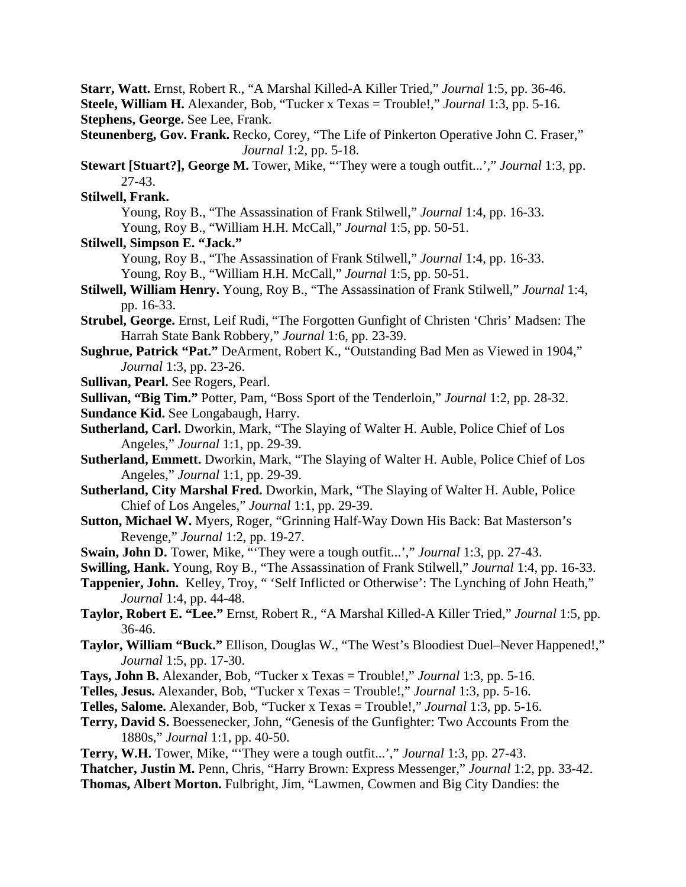**Starr, Watt.** Ernst, Robert R., "A Marshal Killed-A Killer Tried," *Journal* 1:5, pp. 36-46. **Steele, William H.** Alexander, Bob, "Tucker x Texas = Trouble!," *Journal* 1:3, pp. 5-16.

**Stephens, George.** See Lee, Frank.

**Steunenberg, Gov. Frank.** Recko, Corey, "The Life of Pinkerton Operative John C. Fraser," *Journal* 1:2, pp. 5-18.

**Stewart [Stuart?], George M.** Tower, Mike, "'They were a tough outfit...'," *Journal* 1:3, pp. 27-43.

**Stilwell, Frank.**

 Young, Roy B., "The Assassination of Frank Stilwell," *Journal* 1:4, pp. 16-33. Young, Roy B., "William H.H. McCall," *Journal* 1:5, pp. 50-51.

**Stilwell, Simpson E. "Jack."**

Young, Roy B., "The Assassination of Frank Stilwell," *Journal* 1:4, pp. 16-33.

Young, Roy B., "William H.H. McCall," *Journal* 1:5, pp. 50-51.

**Stilwell, William Henry.** Young, Roy B., "The Assassination of Frank Stilwell," *Journal* 1:4, pp. 16-33.

**Strubel, George.** Ernst, Leif Rudi, "The Forgotten Gunfight of Christen 'Chris' Madsen: The Harrah State Bank Robbery," *Journal* 1:6, pp. 23-39.

**Sughrue, Patrick "Pat."** DeArment, Robert K., "Outstanding Bad Men as Viewed in 1904," *Journal* 1:3, pp. 23-26.

**Sullivan, Pearl.** See Rogers, Pearl.

**Sullivan, "Big Tim."** Potter, Pam, "Boss Sport of the Tenderloin," *Journal* 1:2, pp. 28-32.

- **Sundance Kid.** See Longabaugh, Harry.
- **Sutherland, Carl.** Dworkin, Mark, "The Slaying of Walter H. Auble, Police Chief of Los Angeles," *Journal* 1:1, pp. 29-39.

**Sutherland, Emmett.** Dworkin, Mark, "The Slaying of Walter H. Auble, Police Chief of Los Angeles," *Journal* 1:1, pp. 29-39.

**Sutherland, City Marshal Fred.** Dworkin, Mark, "The Slaying of Walter H. Auble, Police Chief of Los Angeles," *Journal* 1:1, pp. 29-39.

- **Sutton, Michael W.** Myers, Roger, "Grinning Half-Way Down His Back: Bat Masterson's Revenge," *Journal* 1:2, pp. 19-27.
- **Swain, John D.** Tower, Mike, "'They were a tough outfit...'," *Journal* 1:3, pp. 27-43.
- **Swilling, Hank.** Young, Roy B., "The Assassination of Frank Stilwell," *Journal* 1:4, pp. 16-33.
- **Tappenier, John.** Kelley, Troy, " 'Self Inflicted or Otherwise': The Lynching of John Heath," *Journal* 1:4, pp. 44-48.
- **Taylor, Robert E. "Lee."** Ernst, Robert R., "A Marshal Killed-A Killer Tried," *Journal* 1:5, pp. 36-46.
- **Taylor, William "Buck."** Ellison, Douglas W., "The West's Bloodiest Duel–Never Happened!," *Journal* 1:5, pp. 17-30.

**Tays, John B.** Alexander, Bob, "Tucker x Texas = Trouble!," *Journal* 1:3, pp. 5-16.

- **Telles, Jesus.** Alexander, Bob, "Tucker x Texas = Trouble!," *Journal* 1:3, pp. 5-16.
- **Telles, Salome.** Alexander, Bob, "Tucker x Texas = Trouble!," *Journal* 1:3, pp. 5-16.
- **Terry, David S.** Boessenecker, John, "Genesis of the Gunfighter: Two Accounts From the 1880s," *Journal* 1:1, pp. 40-50.
- **Terry, W.H.** Tower, Mike, "'They were a tough outfit...'," *Journal* 1:3, pp. 27-43.

**Thatcher, Justin M.** Penn, Chris, "Harry Brown: Express Messenger," *Journal* 1:2, pp. 33-42.

**Thomas, Albert Morton.** Fulbright, Jim, "Lawmen, Cowmen and Big City Dandies: the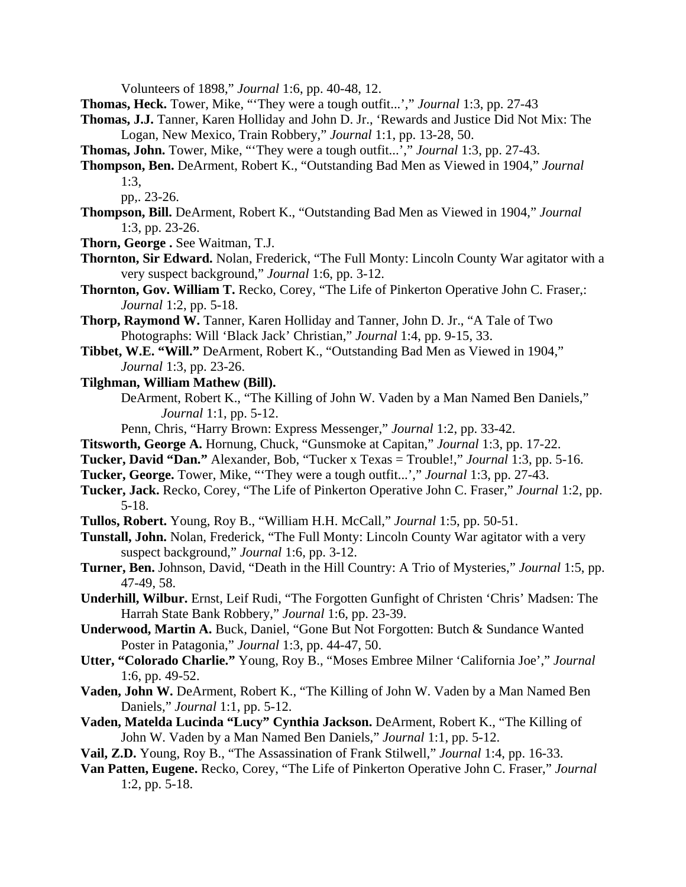Volunteers of 1898," *Journal* 1:6, pp. 40-48, 12.

**Thomas, Heck.** Tower, Mike, "'They were a tough outfit...'," *Journal* 1:3, pp. 27-43

- **Thomas, J.J.** Tanner, Karen Holliday and John D. Jr., 'Rewards and Justice Did Not Mix: The Logan, New Mexico, Train Robbery," *Journal* 1:1, pp. 13-28, 50.
- **Thomas, John.** Tower, Mike, "'They were a tough outfit...'," *Journal* 1:3, pp. 27-43.
- **Thompson, Ben.** DeArment, Robert K., "Outstanding Bad Men as Viewed in 1904," *Journal* 1:3,

- **Thompson, Bill.** DeArment, Robert K., "Outstanding Bad Men as Viewed in 1904," *Journal* 1:3, pp. 23-26.
- **Thorn, George .** See Waitman, T.J.
- **Thornton, Sir Edward.** Nolan, Frederick, "The Full Monty: Lincoln County War agitator with a very suspect background," *Journal* 1:6, pp. 3-12.
- **Thornton, Gov. William T.** Recko, Corey, "The Life of Pinkerton Operative John C. Fraser,: *Journal* 1:2, pp. 5-18.
- **Thorp, Raymond W.** Tanner, Karen Holliday and Tanner, John D. Jr., "A Tale of Two Photographs: Will 'Black Jack' Christian," *Journal* 1:4, pp. 9-15, 33.
- **Tibbet, W.E. "Will."** DeArment, Robert K., "Outstanding Bad Men as Viewed in 1904," *Journal* 1:3, pp. 23-26.
- **Tilghman, William Mathew (Bill).**
	- DeArment, Robert K., "The Killing of John W. Vaden by a Man Named Ben Daniels," *Journal* 1:1, pp. 5-12.

Penn, Chris, "Harry Brown: Express Messenger," *Journal* 1:2, pp. 33-42.

- **Titsworth, George A.** Hornung, Chuck, "Gunsmoke at Capitan," *Journal* 1:3, pp. 17-22.
- **Tucker, David "Dan."** Alexander, Bob, "Tucker x Texas = Trouble!," *Journal* 1:3, pp. 5-16.
- **Tucker, George.** Tower, Mike, "'They were a tough outfit...'," *Journal* 1:3, pp. 27-43.
- **Tucker, Jack.** Recko, Corey, "The Life of Pinkerton Operative John C. Fraser," *Journal* 1:2, pp. 5-18.
- **Tullos, Robert.** Young, Roy B., "William H.H. McCall," *Journal* 1:5, pp. 50-51.
- **Tunstall, John.** Nolan, Frederick, "The Full Monty: Lincoln County War agitator with a very suspect background," *Journal* 1:6, pp. 3-12.
- **Turner, Ben.** Johnson, David, "Death in the Hill Country: A Trio of Mysteries," *Journal* 1:5, pp. 47-49, 58.
- **Underhill, Wilbur.** Ernst, Leif Rudi, "The Forgotten Gunfight of Christen 'Chris' Madsen: The Harrah State Bank Robbery," *Journal* 1:6, pp. 23-39.
- **Underwood, Martin A.** Buck, Daniel, "Gone But Not Forgotten: Butch & Sundance Wanted Poster in Patagonia," *Journal* 1:3, pp. 44-47, 50.
- **Utter, "Colorado Charlie."** Young, Roy B., "Moses Embree Milner 'California Joe'," *Journal* 1:6, pp. 49-52.
- **Vaden, John W.** DeArment, Robert K., "The Killing of John W. Vaden by a Man Named Ben Daniels," *Journal* 1:1, pp. 5-12.
- **Vaden, Matelda Lucinda "Lucy" Cynthia Jackson.** DeArment, Robert K., "The Killing of John W. Vaden by a Man Named Ben Daniels," *Journal* 1:1, pp. 5-12.
- **Vail, Z.D.** Young, Roy B., "The Assassination of Frank Stilwell," *Journal* 1:4, pp. 16-33.
- **Van Patten, Eugene.** Recko, Corey, "The Life of Pinkerton Operative John C. Fraser," *Journal* 1:2, pp. 5-18.

pp,. 23-26.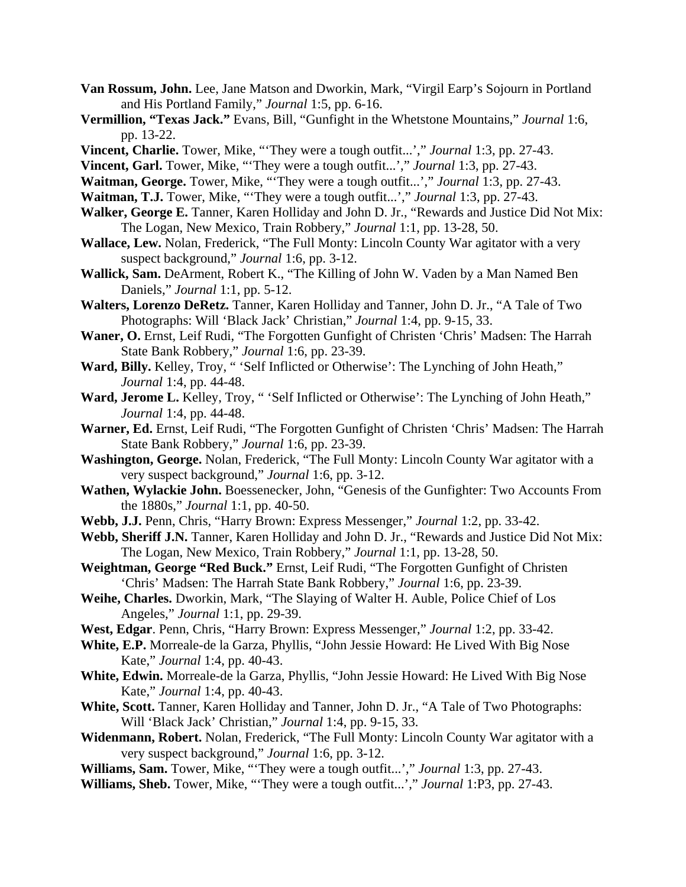- **Van Rossum, John.** Lee, Jane Matson and Dworkin, Mark, "Virgil Earp's Sojourn in Portland and His Portland Family," *Journal* 1:5, pp. 6-16.
- **Vermillion, "Texas Jack."** Evans, Bill, "Gunfight in the Whetstone Mountains," *Journal* 1:6, pp. 13-22.
- **Vincent, Charlie.** Tower, Mike, "'They were a tough outfit...'," *Journal* 1:3, pp. 27-43.
- **Vincent, Garl.** Tower, Mike, "'They were a tough outfit...'," *Journal* 1:3, pp. 27-43.
- **Waitman, George.** Tower, Mike, "'They were a tough outfit...'," *Journal* 1:3, pp. 27-43.
- **Waitman, T.J.** Tower, Mike, "They were a tough outfit...'," *Journal* 1:3, pp. 27-43.
- **Walker, George E.** Tanner, Karen Holliday and John D. Jr., "Rewards and Justice Did Not Mix: The Logan, New Mexico, Train Robbery," *Journal* 1:1, pp. 13-28, 50.
- **Wallace, Lew.** Nolan, Frederick, "The Full Monty: Lincoln County War agitator with a very suspect background," *Journal* 1:6, pp. 3-12.
- **Wallick, Sam.** DeArment, Robert K., "The Killing of John W. Vaden by a Man Named Ben Daniels," *Journal* 1:1, pp. 5-12.
- **Walters, Lorenzo DeRetz.** Tanner, Karen Holliday and Tanner, John D. Jr., "A Tale of Two Photographs: Will 'Black Jack' Christian," *Journal* 1:4, pp. 9-15, 33.
- **Waner, O.** Ernst, Leif Rudi, "The Forgotten Gunfight of Christen 'Chris' Madsen: The Harrah State Bank Robbery," *Journal* 1:6, pp. 23-39.
- Ward, Billy. Kelley, Troy, "'Self Inflicted or Otherwise': The Lynching of John Heath," *Journal* 1:4, pp. 44-48.
- Ward, Jerome L. Kelley, Troy, "'Self Inflicted or Otherwise': The Lynching of John Heath," *Journal* 1:4, pp. 44-48.
- **Warner, Ed.** Ernst, Leif Rudi, "The Forgotten Gunfight of Christen 'Chris' Madsen: The Harrah State Bank Robbery," *Journal* 1:6, pp. 23-39.
- **Washington, George.** Nolan, Frederick, "The Full Monty: Lincoln County War agitator with a very suspect background," *Journal* 1:6, pp. 3-12.
- **Wathen, Wylackie John.** Boessenecker, John, "Genesis of the Gunfighter: Two Accounts From the 1880s," *Journal* 1:1, pp. 40-50.
- **Webb, J.J.** Penn, Chris, "Harry Brown: Express Messenger," *Journal* 1:2, pp. 33-42.
- **Webb, Sheriff J.N.** Tanner, Karen Holliday and John D. Jr., "Rewards and Justice Did Not Mix: The Logan, New Mexico, Train Robbery," *Journal* 1:1, pp. 13-28, 50.
- **Weightman, George "Red Buck."** Ernst, Leif Rudi, "The Forgotten Gunfight of Christen 'Chris' Madsen: The Harrah State Bank Robbery," *Journal* 1:6, pp. 23-39.
- **Weihe, Charles.** Dworkin, Mark, "The Slaying of Walter H. Auble, Police Chief of Los Angeles," *Journal* 1:1, pp. 29-39.
- **West, Edgar**. Penn, Chris, "Harry Brown: Express Messenger," *Journal* 1:2, pp. 33-42.
- **White, E.P.** Morreale-de la Garza, Phyllis, "John Jessie Howard: He Lived With Big Nose Kate," *Journal* 1:4, pp. 40-43.
- **White, Edwin.** Morreale-de la Garza, Phyllis, "John Jessie Howard: He Lived With Big Nose Kate," *Journal* 1:4, pp. 40-43.
- **White, Scott.** Tanner, Karen Holliday and Tanner, John D. Jr., "A Tale of Two Photographs: Will 'Black Jack' Christian," *Journal* 1:4, pp. 9-15, 33.
- **Widenmann, Robert.** Nolan, Frederick, "The Full Monty: Lincoln County War agitator with a very suspect background," *Journal* 1:6, pp. 3-12.
- **Williams, Sam.** Tower, Mike, "'They were a tough outfit...'," *Journal* 1:3, pp. 27-43.
- **Williams, Sheb.** Tower, Mike, "'They were a tough outfit...'," *Journal* 1:P3, pp. 27-43.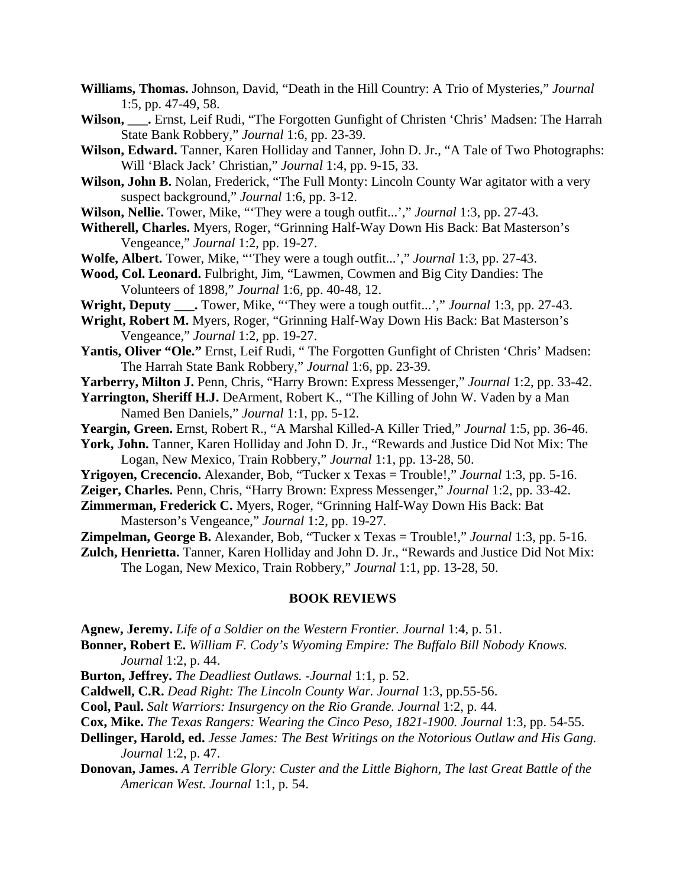- **Williams, Thomas.** Johnson, David, "Death in the Hill Country: A Trio of Mysteries," *Journal* 1:5, pp. 47-49, 58.
- **Wilson, \_\_\_.** Ernst, Leif Rudi, "The Forgotten Gunfight of Christen 'Chris' Madsen: The Harrah State Bank Robbery," *Journal* 1:6, pp. 23-39.
- **Wilson, Edward.** Tanner, Karen Holliday and Tanner, John D. Jr., "A Tale of Two Photographs: Will 'Black Jack' Christian," *Journal* 1:4, pp. 9-15, 33.
- **Wilson, John B.** Nolan, Frederick, "The Full Monty: Lincoln County War agitator with a very suspect background," *Journal* 1:6, pp. 3-12.
- **Wilson, Nellie.** Tower, Mike, "'They were a tough outfit...'," *Journal* 1:3, pp. 27-43.
- **Witherell, Charles.** Myers, Roger, "Grinning Half-Way Down His Back: Bat Masterson's Vengeance," *Journal* 1:2, pp. 19-27.
- **Wolfe, Albert.** Tower, Mike, "'They were a tough outfit...'," *Journal* 1:3, pp. 27-43.
- **Wood, Col. Leonard.** Fulbright, Jim, "Lawmen, Cowmen and Big City Dandies: The Volunteers of 1898," *Journal* 1:6, pp. 40-48, 12.
- **Wright, Deputy \_\_\_.** Tower, Mike, "'They were a tough outfit...'," *Journal* 1:3, pp. 27-43.
- **Wright, Robert M.** Myers, Roger, "Grinning Half-Way Down His Back: Bat Masterson's Vengeance," *Journal* 1:2, pp. 19-27.
- Yantis, Oliver "Ole." Ernst, Leif Rudi, "The Forgotten Gunfight of Christen 'Chris' Madsen: The Harrah State Bank Robbery," *Journal* 1:6, pp. 23-39.
- **Yarberry, Milton J.** Penn, Chris, "Harry Brown: Express Messenger," *Journal* 1:2, pp. 33-42.
- **Yarrington, Sheriff H.J.** DeArment, Robert K., "The Killing of John W. Vaden by a Man Named Ben Daniels," *Journal* 1:1, pp. 5-12.
- **Yeargin, Green.** Ernst, Robert R., "A Marshal Killed-A Killer Tried," *Journal* 1:5, pp. 36-46.
- **York, John.** Tanner, Karen Holliday and John D. Jr., "Rewards and Justice Did Not Mix: The Logan, New Mexico, Train Robbery," *Journal* 1:1, pp. 13-28, 50.
- **Yrigoyen, Crecencio.** Alexander, Bob, "Tucker x Texas = Trouble!," *Journal* 1:3, pp. 5-16.
- **Zeiger, Charles.** Penn, Chris, "Harry Brown: Express Messenger," *Journal* 1:2, pp. 33-42.
- **Zimmerman, Frederick C.** Myers, Roger, "Grinning Half-Way Down His Back: Bat Masterson's Vengeance," *Journal* 1:2, pp. 19-27.
- **Zimpelman, George B.** Alexander, Bob, "Tucker x Texas = Trouble!," *Journal* 1:3, pp. 5-16.
- **Zulch, Henrietta.** Tanner, Karen Holliday and John D. Jr., "Rewards and Justice Did Not Mix: The Logan, New Mexico, Train Robbery," *Journal* 1:1, pp. 13-28, 50.

#### **BOOK REVIEWS**

- **Agnew, Jeremy.** *Life of a Soldier on the Western Frontier. Journal* 1:4, p. 51.
- **Bonner, Robert E.** *William F. Cody's Wyoming Empire: The Buffalo Bill Nobody Knows. Journal* 1:2, p. 44.
- **Burton, Jeffrey.** *The Deadliest Outlaws.* -*Journal* 1:1, p. 52.
- **Caldwell, C.R.** *Dead Right: The Lincoln County War. Journal* 1:3, pp.55-56.
- **Cool, Paul.** *Salt Warriors: Insurgency on the Rio Grande. Journal* 1:2, p. 44.
- **Cox, Mike.** *The Texas Rangers: Wearing the Cinco Peso, 1821-1900. Journal* 1:3, pp. 54-55.
- **Dellinger, Harold, ed.** *Jesse James: The Best Writings on the Notorious Outlaw and His Gang. Journal* 1:2, p. 47.
- **Donovan, James.** *A Terrible Glory: Custer and the Little Bighorn, The last Great Battle of the American West. Journal* 1:1, p. 54.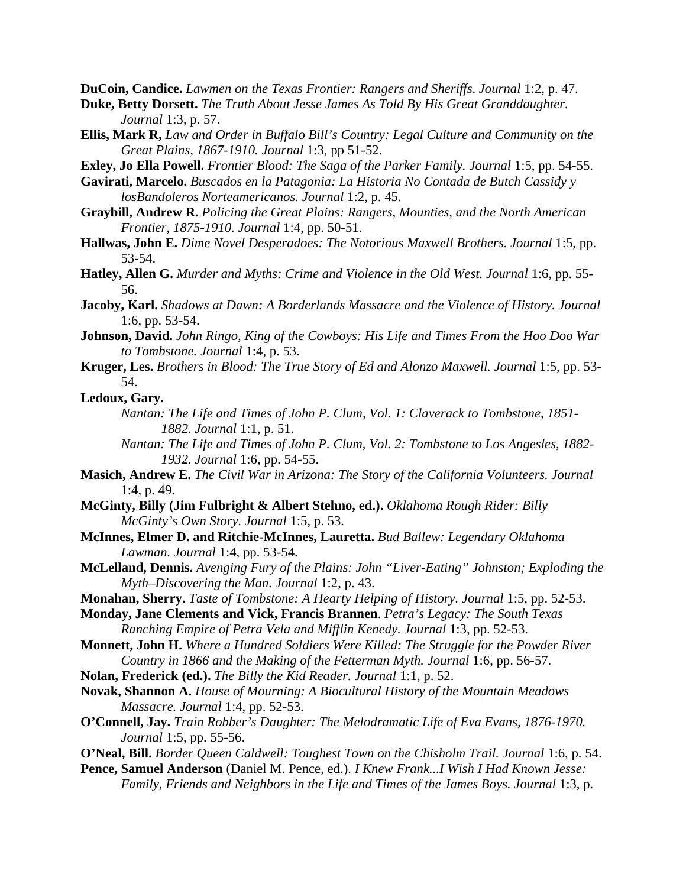**DuCoin, Candice.** *Lawmen on the Texas Frontier: Rangers and Sheriffs*. *Journal* 1:2, p. 47.

**Duke, Betty Dorsett.** *The Truth About Jesse James As Told By His Great Granddaughter. Journal* 1:3, p. 57.

**Ellis, Mark R,** *Law and Order in Buffalo Bill's Country: Legal Culture and Community on the Great Plains, 1867-1910. Journal* 1:3, pp 51-52.

**Exley, Jo Ella Powell.** *Frontier Blood: The Saga of the Parker Family. Journal* 1:5, pp. 54-55.

**Gavirati, Marcelo.** *Buscados en la Patagonia: La Historia No Contada de Butch Cassidy y losBandoleros Norteamericanos. Journal* 1:2, p. 45.

- **Graybill, Andrew R.** *Policing the Great Plains: Rangers, Mounties, and the North American Frontier, 1875-1910. Journal* 1:4, pp. 50-51.
- **Hallwas, John E.** *Dime Novel Desperadoes: The Notorious Maxwell Brothers*. *Journal* 1:5, pp. 53-54.
- **Hatley, Allen G.** *Murder and Myths: Crime and Violence in the Old West. Journal* 1:6, pp. 55- 56.
- **Jacoby, Karl.** *Shadows at Dawn: A Borderlands Massacre and the Violence of History. Journal* 1:6, pp. 53-54.
- **Johnson, David.** *John Ringo, King of the Cowboys: His Life and Times From the Hoo Doo War to Tombstone. Journal* 1:4, p. 53.
- **Kruger, Les.** *Brothers in Blood: The True Story of Ed and Alonzo Maxwell. Journal* 1:5, pp. 53- 54.

**Ledoux, Gary.**

- *Nantan: The Life and Times of John P. Clum, Vol. 1: Claverack to Tombstone, 1851- 1882. Journal* 1:1, p. 51.
- *Nantan: The Life and Times of John P. Clum, Vol. 2: Tombstone to Los Angesles, 1882- 1932. Journal* 1:6, pp. 54-55.
- **Masich, Andrew E.** *The Civil War in Arizona: The Story of the California Volunteers. Journal* 1:4, p. 49.
- **McGinty, Billy (Jim Fulbright & Albert Stehno, ed.).** *Oklahoma Rough Rider: Billy McGinty's Own Story. Journal* 1:5, p. 53.
- **McInnes, Elmer D. and Ritchie-McInnes, Lauretta.** *Bud Ballew: Legendary Oklahoma Lawman. Journal* 1:4, pp. 53-54.
- **McLelland, Dennis.** *Avenging Fury of the Plains: John "Liver-Eating" Johnston; Exploding the Myth–Discovering the Man. Journal* 1:2, p. 43.
- **Monahan, Sherry.** *Taste of Tombstone: A Hearty Helping of History. Journal* 1:5, pp. 52-53.
- **Monday, Jane Clements and Vick, Francis Brannen**. *Petra's Legacy: The South Texas Ranching Empire of Petra Vela and Mifflin Kenedy. Journal* 1:3, pp. 52-53.
- **Monnett, John H.** *Where a Hundred Soldiers Were Killed: The Struggle for the Powder River Country in 1866 and the Making of the Fetterman Myth. Journal* 1:6, pp. 56-57.
- **Nolan, Frederick (ed.).** *The Billy the Kid Reader. Journal* 1:1, p. 52.
- **Novak, Shannon A.** *House of Mourning: A Biocultural History of the Mountain Meadows Massacre. Journal* 1:4, pp. 52-53.
- **O'Connell, Jay.** *Train Robber's Daughter: The Melodramatic Life of Eva Evans, 1876-1970. Journal* 1:5, pp. 55-56.
- **O'Neal, Bill.** *Border Queen Caldwell: Toughest Town on the Chisholm Trail. Journal* 1:6, p. 54.
- **Pence, Samuel Anderson** (Daniel M. Pence, ed.). *I Knew Frank...I Wish I Had Known Jesse: Family, Friends and Neighbors in the Life and Times of the James Boys. Journal* 1:3, p.